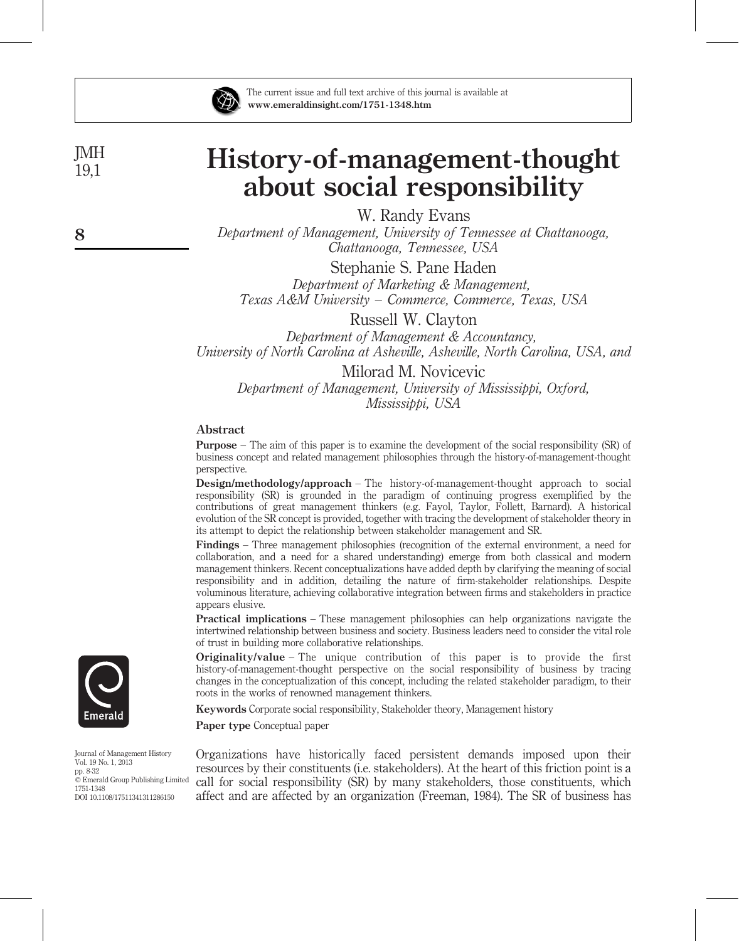

The current issue and full text archive of this journal is available at www.emeraldinsight.com/1751-1348.htm

JMH 19,1

# History-of-management-thought about social responsibility

W. Randy Evans

Department of Management, University of Tennessee at Chattanooga, Chattanooga, Tennessee, USA

Stephanie S. Pane Haden Department of Marketing & Management, Texas A&M University – Commerce, Commerce, Texas, USA

Russell W. Clayton

Department of Management & Accountancy, University of North Carolina at Asheville, Asheville, North Carolina, USA, and

Milorad M. Novicevic

Department of Management, University of Mississippi, Oxford, Mississippi, USA

# Abstract

Purpose – The aim of this paper is to examine the development of the social responsibility (SR) of business concept and related management philosophies through the history-of-management-thought perspective.

Design/methodology/approach – The history-of-management-thought approach to social responsibility (SR) is grounded in the paradigm of continuing progress exemplified by the contributions of great management thinkers (e.g. Fayol, Taylor, Follett, Barnard). A historical evolution of the SR concept is provided, together with tracing the development of stakeholder theory in its attempt to depict the relationship between stakeholder management and SR.

Findings – Three management philosophies (recognition of the external environment, a need for collaboration, and a need for a shared understanding) emerge from both classical and modern management thinkers. Recent conceptualizations have added depth by clarifying the meaning of social responsibility and in addition, detailing the nature of firm-stakeholder relationships. Despite voluminous literature, achieving collaborative integration between firms and stakeholders in practice appears elusive.

Practical implications – These management philosophies can help organizations navigate the intertwined relationship between business and society. Business leaders need to consider the vital role of trust in building more collaborative relationships.

**Originality/value** – The unique contribution of this paper is to provide the first history-of-management-thought perspective on the social responsibility of business by tracing changes in the conceptualization of this concept, including the related stakeholder paradigm, to their roots in the works of renowned management thinkers.

Keywords Corporate social responsibility, Stakeholder theory, Management history

Paper type Conceptual paper

Journal of Management History Vol. 19 No. 1, 2013 pp. 8-32  $\degree$  Emerald Group Publishing Limited 1751-1348 DOI 10.1108/17511341311286150

Organizations have historically faced persistent demands imposed upon their resources by their constituents (i.e. stakeholders). At the heart of this friction point is a call for social responsibility (SR) by many stakeholders, those constituents, which affect and are affected by an organization (Freeman, 1984). The SR of business has

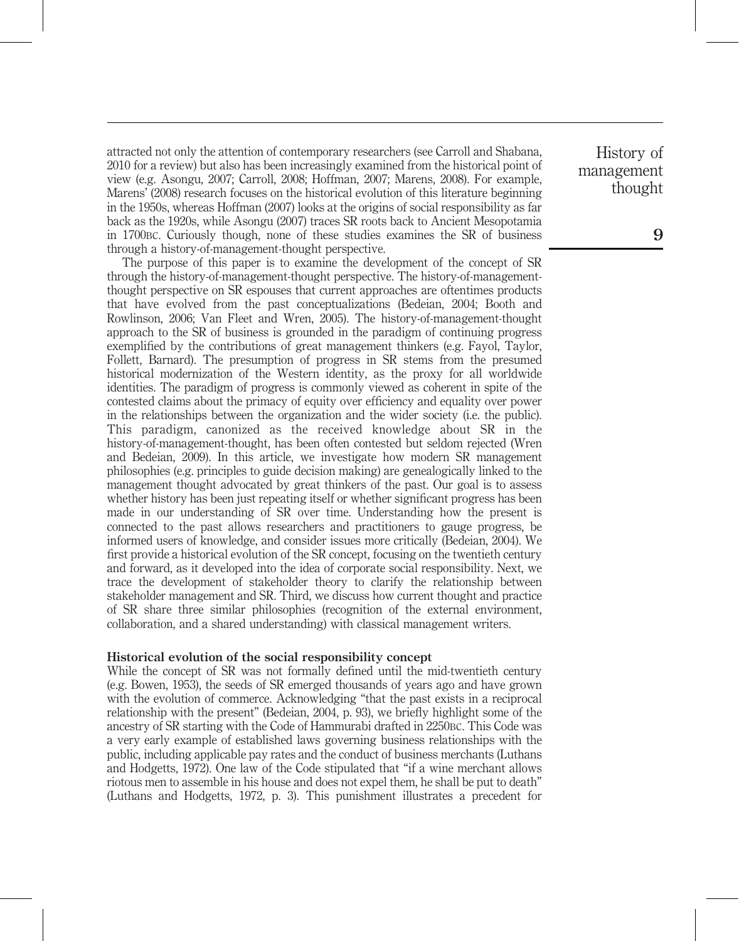attracted not only the attention of contemporary researchers (see Carroll and Shabana, 2010 for a review) but also has been increasingly examined from the historical point of view (e.g. Asongu, 2007; Carroll, 2008; Hoffman, 2007; Marens, 2008). For example, Marens' (2008) research focuses on the historical evolution of this literature beginning in the 1950s, whereas Hoffman (2007) looks at the origins of social responsibility as far back as the 1920s, while Asongu (2007) traces SR roots back to Ancient Mesopotamia in 1700BC. Curiously though, none of these studies examines the SR of business through a history-of-management-thought perspective.

The purpose of this paper is to examine the development of the concept of SR through the history-of-management-thought perspective. The history-of-managementthought perspective on SR espouses that current approaches are oftentimes products that have evolved from the past conceptualizations (Bedeian, 2004; Booth and Rowlinson, 2006; Van Fleet and Wren, 2005). The history-of-management-thought approach to the SR of business is grounded in the paradigm of continuing progress exemplified by the contributions of great management thinkers (e.g. Fayol, Taylor, Follett, Barnard). The presumption of progress in SR stems from the presumed historical modernization of the Western identity, as the proxy for all worldwide identities. The paradigm of progress is commonly viewed as coherent in spite of the contested claims about the primacy of equity over efficiency and equality over power in the relationships between the organization and the wider society (i.e. the public). This paradigm, canonized as the received knowledge about SR in the history-of-management-thought, has been often contested but seldom rejected (Wren and Bedeian, 2009). In this article, we investigate how modern SR management philosophies (e.g. principles to guide decision making) are genealogically linked to the management thought advocated by great thinkers of the past. Our goal is to assess whether history has been just repeating itself or whether significant progress has been made in our understanding of SR over time. Understanding how the present is connected to the past allows researchers and practitioners to gauge progress, be informed users of knowledge, and consider issues more critically (Bedeian, 2004). We first provide a historical evolution of the SR concept, focusing on the twentieth century and forward, as it developed into the idea of corporate social responsibility. Next, we trace the development of stakeholder theory to clarify the relationship between stakeholder management and SR. Third, we discuss how current thought and practice of SR share three similar philosophies (recognition of the external environment, collaboration, and a shared understanding) with classical management writers.

## Historical evolution of the social responsibility concept

While the concept of SR was not formally defined until the mid-twentieth century (e.g. Bowen, 1953), the seeds of SR emerged thousands of years ago and have grown with the evolution of commerce. Acknowledging "that the past exists in a reciprocal relationship with the present" (Bedeian, 2004, p. 93), we briefly highlight some of the ancestry of SR starting with the Code of Hammurabi drafted in 2250BC. This Code was a very early example of established laws governing business relationships with the public, including applicable pay rates and the conduct of business merchants (Luthans and Hodgetts, 1972). One law of the Code stipulated that "if a wine merchant allows riotous men to assemble in his house and does not expel them, he shall be put to death" (Luthans and Hodgetts, 1972, p. 3). This punishment illustrates a precedent for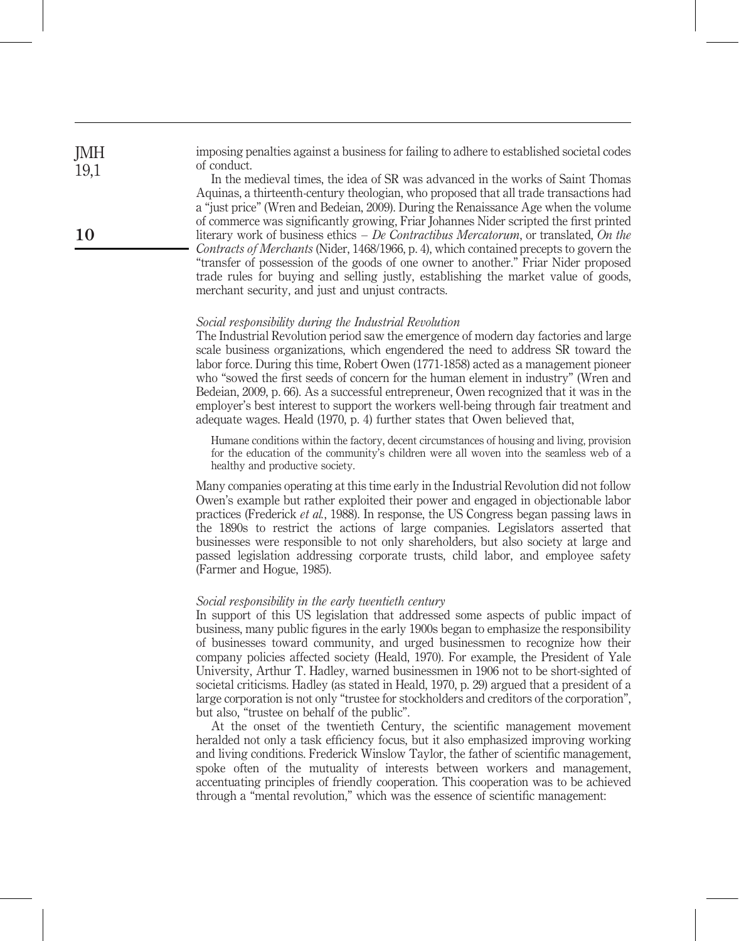imposing penalties against a business for failing to adhere to established societal codes of conduct.

In the medieval times, the idea of SR was advanced in the works of Saint Thomas Aquinas, a thirteenth-century theologian, who proposed that all trade transactions had a "just price" (Wren and Bedeian, 2009). During the Renaissance Age when the volume of commerce was significantly growing, Friar Johannes Nider scripted the first printed literary work of business ethics – De Contractibus Mercatorum, or translated, On the Contracts of Merchants (Nider, 1468/1966, p. 4), which contained precepts to govern the "transfer of possession of the goods of one owner to another." Friar Nider proposed trade rules for buying and selling justly, establishing the market value of goods, merchant security, and just and unjust contracts.

#### Social responsibility during the Industrial Revolution

The Industrial Revolution period saw the emergence of modern day factories and large scale business organizations, which engendered the need to address SR toward the labor force. During this time, Robert Owen (1771-1858) acted as a management pioneer who "sowed the first seeds of concern for the human element in industry" (Wren and Bedeian, 2009, p. 66). As a successful entrepreneur, Owen recognized that it was in the employer's best interest to support the workers well-being through fair treatment and adequate wages. Heald (1970, p. 4) further states that Owen believed that,

Humane conditions within the factory, decent circumstances of housing and living, provision for the education of the community's children were all woven into the seamless web of a healthy and productive society.

Many companies operating at this time early in the Industrial Revolution did not follow Owen's example but rather exploited their power and engaged in objectionable labor practices (Frederick et al., 1988). In response, the US Congress began passing laws in the 1890s to restrict the actions of large companies. Legislators asserted that businesses were responsible to not only shareholders, but also society at large and passed legislation addressing corporate trusts, child labor, and employee safety (Farmer and Hogue, 1985).

#### Social responsibility in the early twentieth century

In support of this US legislation that addressed some aspects of public impact of business, many public figures in the early 1900s began to emphasize the responsibility of businesses toward community, and urged businessmen to recognize how their company policies affected society (Heald, 1970). For example, the President of Yale University, Arthur T. Hadley, warned businessmen in 1906 not to be short-sighted of societal criticisms. Hadley (as stated in Heald, 1970, p. 29) argued that a president of a large corporation is not only "trustee for stockholders and creditors of the corporation", but also, "trustee on behalf of the public".

At the onset of the twentieth Century, the scientific management movement heralded not only a task efficiency focus, but it also emphasized improving working and living conditions. Frederick Winslow Taylor, the father of scientific management, spoke often of the mutuality of interests between workers and management, accentuating principles of friendly cooperation. This cooperation was to be achieved through a "mental revolution," which was the essence of scientific management: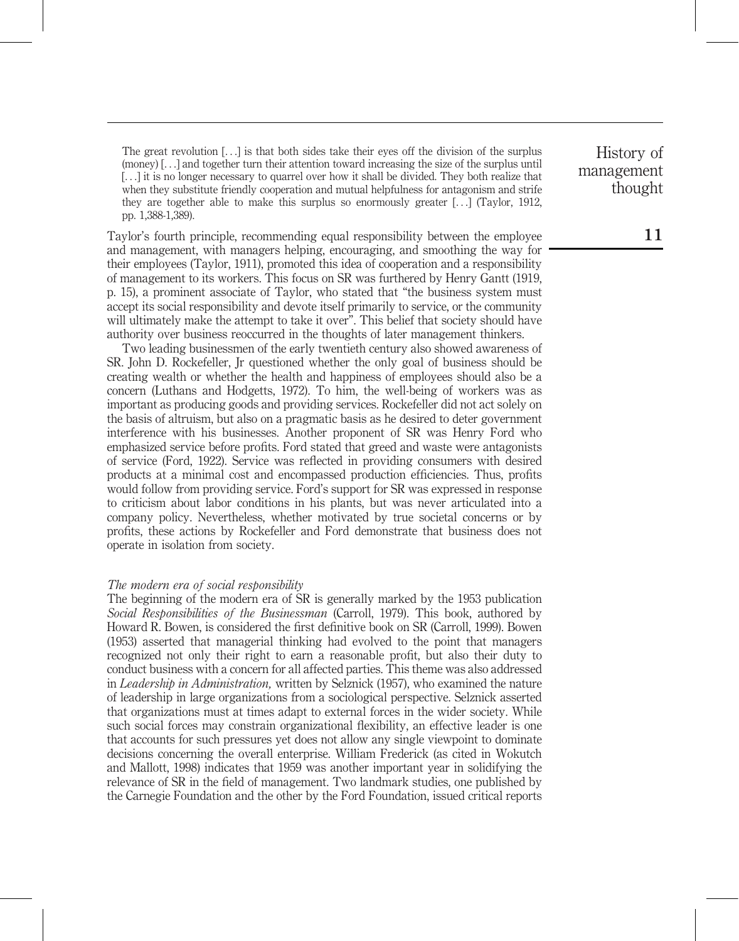The great revolution [...] is that both sides take their eyes off the division of the surplus (money) [...] and together turn their attention toward increasing the size of the surplus until [...] it is no longer necessary to quarrel over how it shall be divided. They both realize that when they substitute friendly cooperation and mutual helpfulness for antagonism and strife they are together able to make this surplus so enormously greater [...] (Taylor, 1912, pp. 1,388-1,389).

Taylor's fourth principle, recommending equal responsibility between the employee and management, with managers helping, encouraging, and smoothing the way for their employees (Taylor, 1911), promoted this idea of cooperation and a responsibility of management to its workers. This focus on SR was furthered by Henry Gantt (1919, p. 15), a prominent associate of Taylor, who stated that "the business system must accept its social responsibility and devote itself primarily to service, or the community will ultimately make the attempt to take it over". This belief that society should have authority over business reoccurred in the thoughts of later management thinkers.

Two leading businessmen of the early twentieth century also showed awareness of SR. John D. Rockefeller, Jr questioned whether the only goal of business should be creating wealth or whether the health and happiness of employees should also be a concern (Luthans and Hodgetts, 1972). To him, the well-being of workers was as important as producing goods and providing services. Rockefeller did not act solely on the basis of altruism, but also on a pragmatic basis as he desired to deter government interference with his businesses. Another proponent of SR was Henry Ford who emphasized service before profits. Ford stated that greed and waste were antagonists of service (Ford, 1922). Service was reflected in providing consumers with desired products at a minimal cost and encompassed production efficiencies. Thus, profits would follow from providing service. Ford's support for SR was expressed in response to criticism about labor conditions in his plants, but was never articulated into a company policy. Nevertheless, whether motivated by true societal concerns or by profits, these actions by Rockefeller and Ford demonstrate that business does not operate in isolation from society.

## The modern era of social responsibility

The beginning of the modern era of SR is generally marked by the 1953 publication Social Responsibilities of the Businessman (Carroll, 1979). This book, authored by Howard R. Bowen, is considered the first definitive book on SR (Carroll, 1999). Bowen (1953) asserted that managerial thinking had evolved to the point that managers recognized not only their right to earn a reasonable profit, but also their duty to conduct business with a concern for all affected parties. This theme was also addressed in Leadership in Administration, written by Selznick (1957), who examined the nature of leadership in large organizations from a sociological perspective. Selznick asserted that organizations must at times adapt to external forces in the wider society. While such social forces may constrain organizational flexibility, an effective leader is one that accounts for such pressures yet does not allow any single viewpoint to dominate decisions concerning the overall enterprise. William Frederick (as cited in Wokutch and Mallott, 1998) indicates that 1959 was another important year in solidifying the relevance of SR in the field of management. Two landmark studies, one published by the Carnegie Foundation and the other by the Ford Foundation, issued critical reports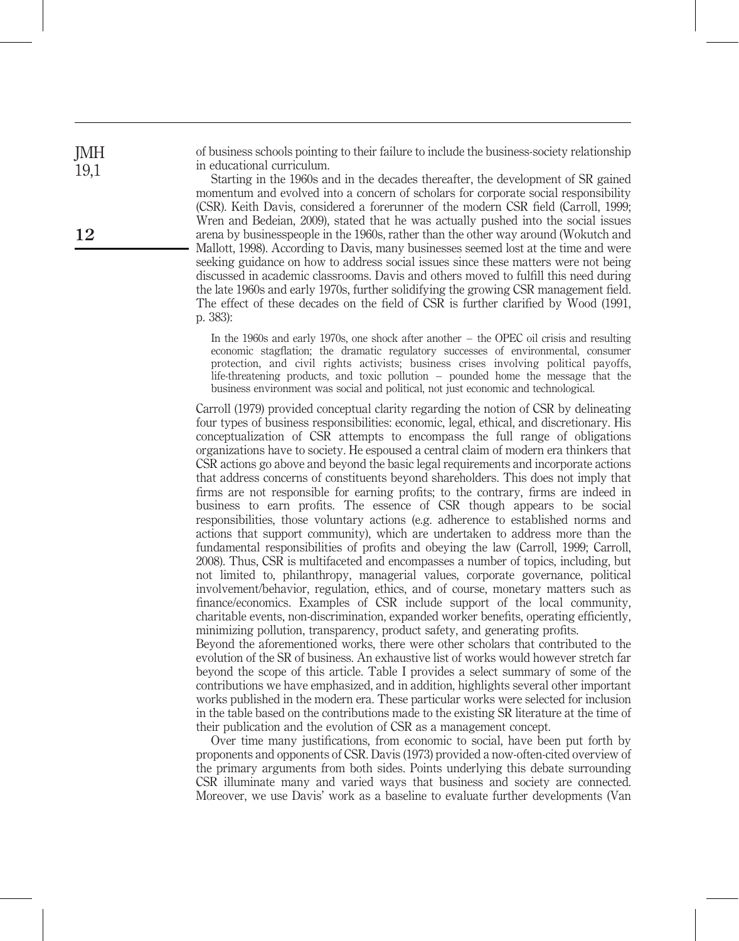of business schools pointing to their failure to include the business-society relationship in educational curriculum.

Starting in the 1960s and in the decades thereafter, the development of SR gained momentum and evolved into a concern of scholars for corporate social responsibility (CSR). Keith Davis, considered a forerunner of the modern CSR field (Carroll, 1999; Wren and Bedeian, 2009), stated that he was actually pushed into the social issues arena by businesspeople in the 1960s, rather than the other way around (Wokutch and Mallott, 1998). According to Davis, many businesses seemed lost at the time and were seeking guidance on how to address social issues since these matters were not being discussed in academic classrooms. Davis and others moved to fulfill this need during the late 1960s and early 1970s, further solidifying the growing CSR management field. The effect of these decades on the field of CSR is further clarified by Wood (1991, p. 383):

In the 1960s and early 1970s, one shock after another – the OPEC oil crisis and resulting economic stagflation; the dramatic regulatory successes of environmental, consumer protection, and civil rights activists; business crises involving political payoffs, life-threatening products, and toxic pollution – pounded home the message that the business environment was social and political, not just economic and technological.

Carroll (1979) provided conceptual clarity regarding the notion of CSR by delineating four types of business responsibilities: economic, legal, ethical, and discretionary. His conceptualization of CSR attempts to encompass the full range of obligations organizations have to society. He espoused a central claim of modern era thinkers that CSR actions go above and beyond the basic legal requirements and incorporate actions that address concerns of constituents beyond shareholders. This does not imply that firms are not responsible for earning profits; to the contrary, firms are indeed in business to earn profits. The essence of CSR though appears to be social responsibilities, those voluntary actions (e.g. adherence to established norms and actions that support community), which are undertaken to address more than the fundamental responsibilities of profits and obeying the law (Carroll, 1999; Carroll, 2008). Thus, CSR is multifaceted and encompasses a number of topics, including, but not limited to, philanthropy, managerial values, corporate governance, political involvement/behavior, regulation, ethics, and of course, monetary matters such as finance/economics. Examples of CSR include support of the local community, charitable events, non-discrimination, expanded worker benefits, operating efficiently, minimizing pollution, transparency, product safety, and generating profits.

Beyond the aforementioned works, there were other scholars that contributed to the evolution of the SR of business. An exhaustive list of works would however stretch far beyond the scope of this article. Table I provides a select summary of some of the contributions we have emphasized, and in addition, highlights several other important works published in the modern era. These particular works were selected for inclusion in the table based on the contributions made to the existing SR literature at the time of their publication and the evolution of CSR as a management concept.

Over time many justifications, from economic to social, have been put forth by proponents and opponents of CSR. Davis (1973) provided a now-often-cited overview of the primary arguments from both sides. Points underlying this debate surrounding CSR illuminate many and varied ways that business and society are connected. Moreover, we use Davis' work as a baseline to evaluate further developments (Van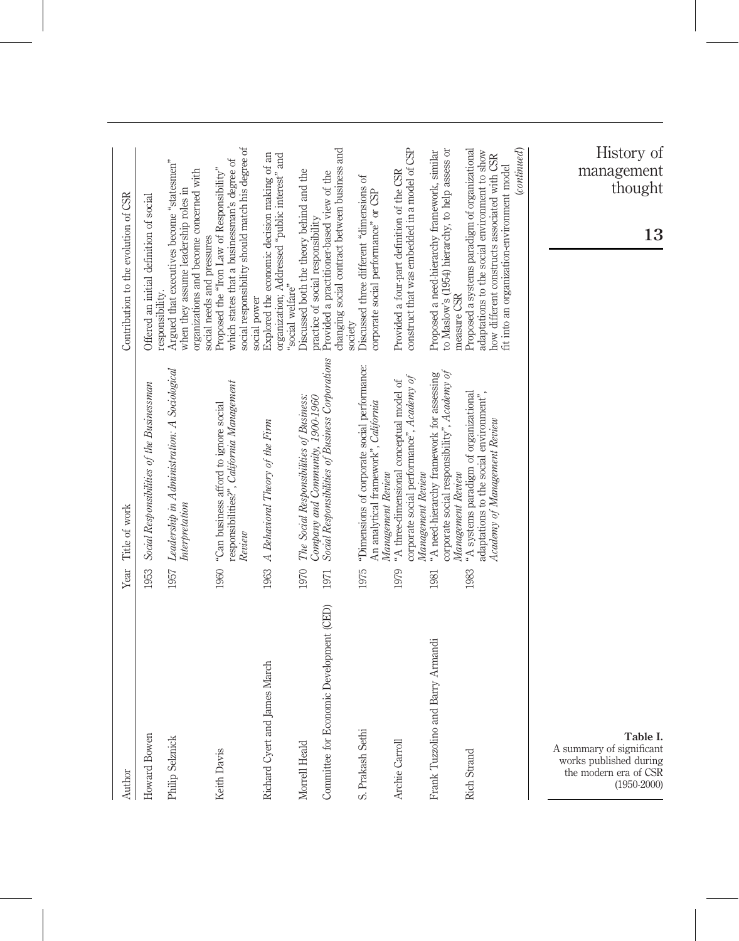| Author                                                                                                     | Year | Title of work                                                                                                    | Contribution to the evolution of CSR                                                                                                                                                                        |
|------------------------------------------------------------------------------------------------------------|------|------------------------------------------------------------------------------------------------------------------|-------------------------------------------------------------------------------------------------------------------------------------------------------------------------------------------------------------|
| Howard Bowen                                                                                               | 1953 | Social Responsibilities of the Businessman                                                                       | Offered an initial definition of social                                                                                                                                                                     |
| Philip Selznick                                                                                            | 1957 | Leadership in Administration: A Sociological<br>Interpretation                                                   | Argued that executives become "statesmen"<br>organizations and become concerned with<br>when they assume leadership roles in<br>responsibility.                                                             |
| Keith Davis                                                                                                | 1960 | responsibilities?", California Management<br>"Can business afford to ignore social<br>Review                     | social responsibility should match his degree of<br>which states that a businessman's degree of<br>Proposed the "Iron Law of Responsibility"<br>social needs and pressures                                  |
| Richard Cyert and James March                                                                              | 1963 | A Behavioral Theory of the Firm                                                                                  | organization; Addressed "public interest" and<br>Explored the economic decision making of an<br>social power                                                                                                |
| Morrell Heald                                                                                              | 1970 | Company and Community, 1900-1960<br>The Social Responsibilities of Business:                                     | Discussed both the theory behind and the<br>practice of social responsibility<br>"social welfare"                                                                                                           |
| Committee for Economic Development (CED)                                                                   | 1971 | Social Responsibilities of Business Corporations                                                                 | changing social contract between business and<br>Provided a practitioner-based view of the<br>society                                                                                                       |
| S. Prakash Sethi                                                                                           | 1975 | "Dimensions of corporate social performance:<br>An analytical framework", California<br>Management Review        | Discussed three different "dimensions of<br>corporate social performance" or CSP                                                                                                                            |
| Archie Carroll                                                                                             | 1979 | corporate social performance", Academy of<br>"A three-dimensional conceptual model of<br>Management Review       | construct that was embedded in a model of CSP<br>Provided a four-part definition of the CSR                                                                                                                 |
| Frank Tuzzolino and Barry Armandi                                                                          | 1981 | corporate social responsibility", Academy of<br>"A need-hierarchy framework for assessing<br>Management Review   | to Maslow's (1954) hierarchy, to help assess or<br>Proposed a need-hierarchy framework, similar<br>measure CSR                                                                                              |
| Rich Strand                                                                                                | 1983 | adaptations to the social environment",<br>"A systems paradigm of organizational<br>Academy of Management Review | (continued)<br>Proposed a systems paradigm of organizational<br>adaptations to the social environment to show<br>how different constructs associated with CSR<br>fit into an organization-environment model |
| Table I.<br>A summary of significant<br>works published during<br>the modern era of CSR<br>$(1950 - 2000)$ |      |                                                                                                                  | History of<br>management<br>thought<br>13                                                                                                                                                                   |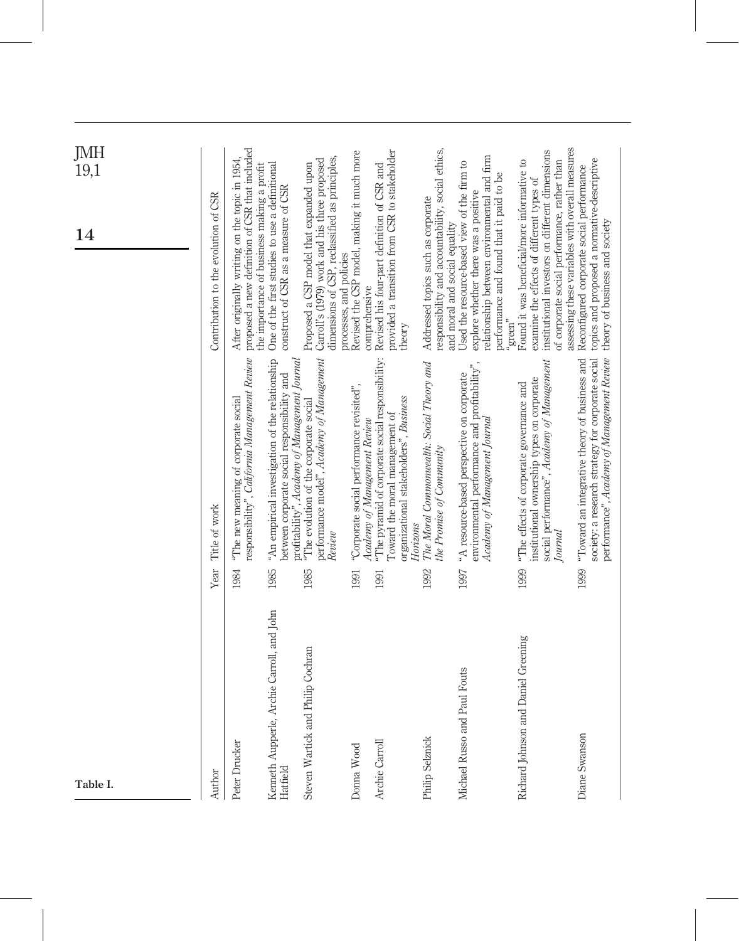| Table I.                                               |      |                                                                                                                                                  | JMH<br>19,1<br>14                                                                                                                                                                                                                              |
|--------------------------------------------------------|------|--------------------------------------------------------------------------------------------------------------------------------------------------|------------------------------------------------------------------------------------------------------------------------------------------------------------------------------------------------------------------------------------------------|
| Author                                                 | Year | Title of work                                                                                                                                    | Contribution to the evolution of CSR                                                                                                                                                                                                           |
| Peter Drucker                                          | 1984 | responsibility", California Management Review<br>"The new meaning of corporate social                                                            | proposed a new definition of CSR that included<br>After originally writing on the topic in 1954,<br>the importance of business making a profit                                                                                                 |
| Kenneth Aupperle, Archie Carroll, and John<br>Hatfield | 1985 | "An empirical investigation of the relationship<br>profitability", Academy of Management Journal<br>between corporate social responsibility and  | One of the first studies to use a definitional<br>construct of CSR as a measure of CSR                                                                                                                                                         |
| Steven Wartick and Philip Cochran                      | 1985 | performance model", Academy of Management<br>"The evolution of the corporate social<br>Review                                                    | dimensions of CSP, reclassified as principles,<br>Carroll's (1979) work and his three proposed<br>Proposed a CSP model that expanded upon<br>processes, and policies                                                                           |
| Donna Wood                                             | 1991 | "Corporate social performance revisited",<br>Academy of Management Review                                                                        | Revised the CSP model, making it much more<br>comprehensive                                                                                                                                                                                    |
| Archie Carroll                                         | 1991 | "The pyramid of corporate social responsibility:<br>organizational stakeholders", Business<br>Toward the moral management of<br>Horizons         | provided a transition from CSR to stakeholder<br>Revised his four-part definition of CSR and<br>theory                                                                                                                                         |
| Philip Selznick                                        | 1992 | The Moral Commonwealth: Social Theory and<br>the Promise of Community                                                                            | responsibility and accountability, social ethics,<br>Addressed topics such as corporate<br>and moral and social equality                                                                                                                       |
| Michael Russo and Paul Fouts                           | 1997 | environmental performance and profitability",<br>"A resource-based perspective on corporate<br>Academy of Management Journal                     | relationship between environmental and firm<br>Used the resource-based view of the firm to<br>performance and found that it paid to be<br>explore whether there was a positive<br>"green"                                                      |
| Daniel Greening<br>Richard Johnson and                 | 1999 | social performance", Academy of Management<br>institutional ownership types on corporate<br>"The effects of corporate governance and<br>purnal   | assessing these variables with overall measures<br>institutional investors on different dimensions<br>of corporate social performance, rather than<br>Found it was beneficial/more informative to<br>examine the effects of different types of |
| Diane Swanson                                          | 1999 | performance", Academy of Management Review<br>"Toward an integrative theory of business and<br>society: a research strategy for corporate social | topics and proposed a normative-descriptive<br>Reconfigured corporate social performance<br>theory of business and society                                                                                                                     |
|                                                        |      |                                                                                                                                                  |                                                                                                                                                                                                                                                |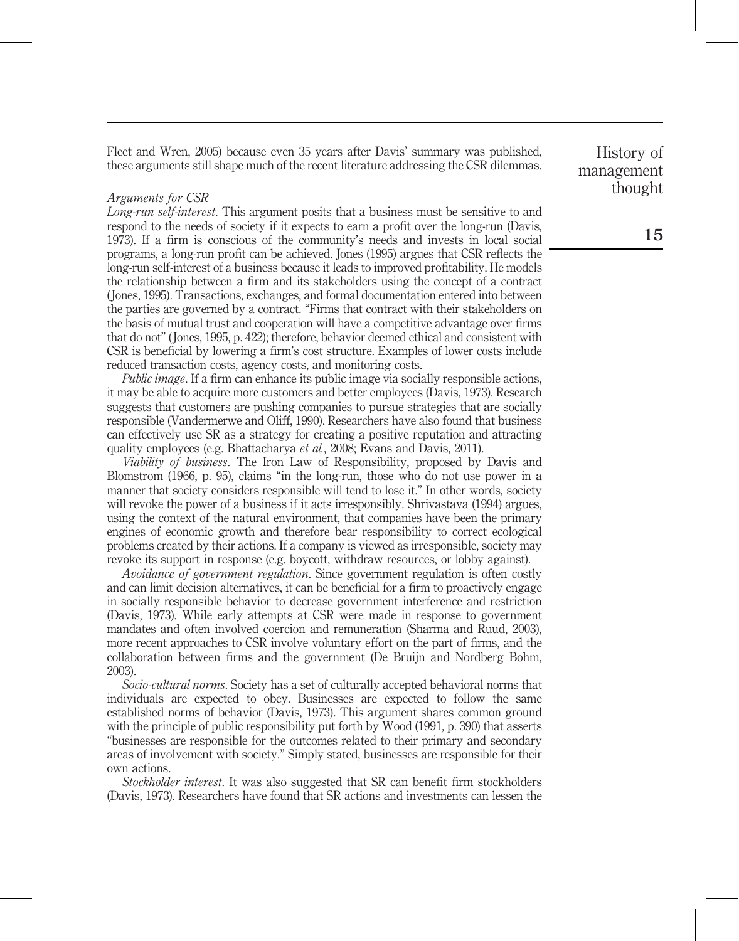Fleet and Wren, 2005) because even 35 years after Davis' summary was published, these arguments still shape much of the recent literature addressing the CSR dilemmas.

# Arguments for CSR

Long-run self-interest. This argument posits that a business must be sensitive to and respond to the needs of society if it expects to earn a profit over the long-run (Davis, 1973). If a firm is conscious of the community's needs and invests in local social programs, a long-run profit can be achieved. Jones (1995) argues that CSR reflects the long-run self-interest of a business because it leads to improved profitability. He models the relationship between a firm and its stakeholders using the concept of a contract (Jones, 1995). Transactions, exchanges, and formal documentation entered into between the parties are governed by a contract. "Firms that contract with their stakeholders on the basis of mutual trust and cooperation will have a competitive advantage over firms that do not" (Jones, 1995, p. 422); therefore, behavior deemed ethical and consistent with CSR is beneficial by lowering a firm's cost structure. Examples of lower costs include reduced transaction costs, agency costs, and monitoring costs.

Public image. If a firm can enhance its public image via socially responsible actions, it may be able to acquire more customers and better employees (Davis, 1973). Research suggests that customers are pushing companies to pursue strategies that are socially responsible (Vandermerwe and Oliff, 1990). Researchers have also found that business can effectively use SR as a strategy for creating a positive reputation and attracting quality employees (e.g. Bhattacharya et al., 2008; Evans and Davis, 2011).

Viability of business. The Iron Law of Responsibility, proposed by Davis and Blomstrom (1966, p. 95), claims "in the long-run, those who do not use power in a manner that society considers responsible will tend to lose it." In other words, society will revoke the power of a business if it acts irresponsibly. Shrivastava (1994) argues, using the context of the natural environment, that companies have been the primary engines of economic growth and therefore bear responsibility to correct ecological problems created by their actions. If a company is viewed as irresponsible, society may revoke its support in response (e.g. boycott, withdraw resources, or lobby against).

Avoidance of government regulation. Since government regulation is often costly and can limit decision alternatives, it can be beneficial for a firm to proactively engage in socially responsible behavior to decrease government interference and restriction (Davis, 1973). While early attempts at CSR were made in response to government mandates and often involved coercion and remuneration (Sharma and Ruud, 2003), more recent approaches to CSR involve voluntary effort on the part of firms, and the collaboration between firms and the government (De Bruijn and Nordberg Bohm, 2003).

Socio-cultural norms. Society has a set of culturally accepted behavioral norms that individuals are expected to obey. Businesses are expected to follow the same established norms of behavior (Davis, 1973). This argument shares common ground with the principle of public responsibility put forth by Wood (1991, p. 390) that asserts "businesses are responsible for the outcomes related to their primary and secondary areas of involvement with society." Simply stated, businesses are responsible for their own actions.

Stockholder interest. It was also suggested that SR can benefit firm stockholders (Davis, 1973). Researchers have found that SR actions and investments can lessen the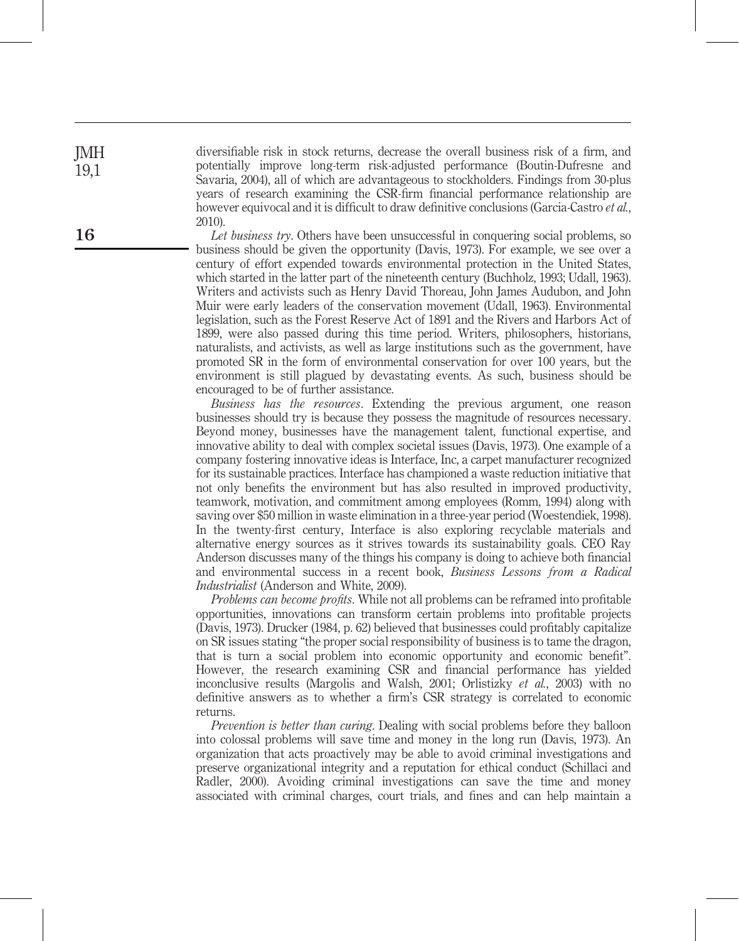diversifiable risk in stock returns, decrease the overall business risk of a firm, and potentially improve long-term risk-adjusted performance (Boutin-Dufresne and Savaria, 2004), all of which are advantageous to stockholders. Findings from 30-plus years of research examining the CSR-firm financial performance relationship are however equivocal and it is difficult to draw definitive conclusions (Garcia-Castro *et al.*, 2010).

Let business try. Others have been unsuccessful in conquering social problems, so business should be given the opportunity (Davis, 1973). For example, we see over a century of effort expended towards environmental protection in the United States, which started in the latter part of the nineteenth century (Buchholz, 1993; Udall, 1963). Writers and activists such as Henry David Thoreau, John James Audubon, and John Muir were early leaders of the conservation movement (Udall, 1963). Environmental legislation, such as the Forest Reserve Act of 1891 and the Rivers and Harbors Act of 1899, were also passed during this time period. Writers, philosophers, historians, naturalists, and activists, as well as large institutions such as the government, have promoted SR in the form of environmental conservation for over 100 years, but the environment is still plagued by devastating events. As such, business should be encouraged to be of further assistance.

Business has the resources. Extending the previous argument, one reason businesses should try is because they possess the magnitude of resources necessary. Beyond money, businesses have the management talent, functional expertise, and innovative ability to deal with complex societal issues (Davis, 1973). One example of a company fostering innovative ideas is Interface, Inc, a carpet manufacturer recognized for its sustainable practices. Interface has championed a waste reduction initiative that not only benefits the environment but has also resulted in improved productivity, teamwork, motivation, and commitment among employees (Romm, 1994) along with saving over \$50 million in waste elimination in a three-year period (Woestendiek, 1998). In the twenty-first century, Interface is also exploring recyclable materials and alternative energy sources as it strives towards its sustainability goals. CEO Ray Anderson discusses many of the things his company is doing to achieve both financial and environmental success in a recent book, Business Lessons from a Radical Industrialist (Anderson and White, 2009).

Problems can become profits. While not all problems can be reframed into profitable opportunities, innovations can transform certain problems into profitable projects (Davis, 1973). Drucker (1984, p. 62) believed that businesses could profitably capitalize on SR issues stating "the proper social responsibility of business is to tame the dragon, that is turn a social problem into economic opportunity and economic benefit". However, the research examining CSR and financial performance has yielded inconclusive results (Margolis and Walsh, 2001; Orlistizky et al., 2003) with no definitive answers as to whether a firm's CSR strategy is correlated to economic returns.

Prevention is better than curing. Dealing with social problems before they balloon into colossal problems will save time and money in the long run (Davis, 1973). An organization that acts proactively may be able to avoid criminal investigations and preserve organizational integrity and a reputation for ethical conduct (Schillaci and Radler, 2000). Avoiding criminal investigations can save the time and money associated with criminal charges, court trials, and fines and can help maintain a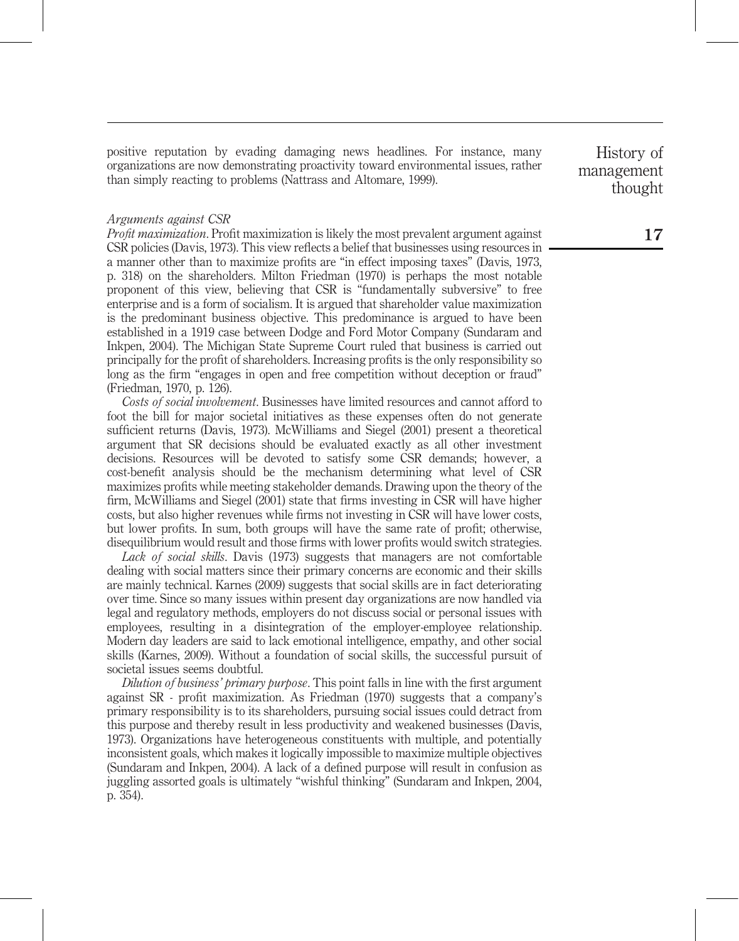positive reputation by evading damaging news headlines. For instance, many organizations are now demonstrating proactivity toward environmental issues, rather than simply reacting to problems (Nattrass and Altomare, 1999).

# Arguments against CSR

Profit maximization. Profit maximization is likely the most prevalent argument against CSR policies (Davis, 1973). This view reflects a belief that businesses using resources in a manner other than to maximize profits are "in effect imposing taxes" (Davis, 1973, p. 318) on the shareholders. Milton Friedman (1970) is perhaps the most notable proponent of this view, believing that CSR is "fundamentally subversive" to free enterprise and is a form of socialism. It is argued that shareholder value maximization is the predominant business objective. This predominance is argued to have been established in a 1919 case between Dodge and Ford Motor Company (Sundaram and Inkpen, 2004). The Michigan State Supreme Court ruled that business is carried out principally for the profit of shareholders. Increasing profits is the only responsibility so long as the firm "engages in open and free competition without deception or fraud" (Friedman, 1970, p. 126).

Costs of social involvement. Businesses have limited resources and cannot afford to foot the bill for major societal initiatives as these expenses often do not generate sufficient returns (Davis, 1973). McWilliams and Siegel (2001) present a theoretical argument that SR decisions should be evaluated exactly as all other investment decisions. Resources will be devoted to satisfy some CSR demands; however, a cost-benefit analysis should be the mechanism determining what level of CSR maximizes profits while meeting stakeholder demands. Drawing upon the theory of the firm, McWilliams and Siegel (2001) state that firms investing in CSR will have higher costs, but also higher revenues while firms not investing in CSR will have lower costs, but lower profits. In sum, both groups will have the same rate of profit; otherwise, disequilibrium would result and those firms with lower profits would switch strategies.

Lack of social skills. Davis (1973) suggests that managers are not comfortable dealing with social matters since their primary concerns are economic and their skills are mainly technical. Karnes (2009) suggests that social skills are in fact deteriorating over time. Since so many issues within present day organizations are now handled via legal and regulatory methods, employers do not discuss social or personal issues with employees, resulting in a disintegration of the employer-employee relationship. Modern day leaders are said to lack emotional intelligence, empathy, and other social skills (Karnes, 2009). Without a foundation of social skills, the successful pursuit of societal issues seems doubtful.

Dilution of business' primary purpose. This point falls in line with the first argument against SR - profit maximization. As Friedman (1970) suggests that a company's primary responsibility is to its shareholders, pursuing social issues could detract from this purpose and thereby result in less productivity and weakened businesses (Davis, 1973). Organizations have heterogeneous constituents with multiple, and potentially inconsistent goals, which makes it logically impossible to maximize multiple objectives (Sundaram and Inkpen, 2004). A lack of a defined purpose will result in confusion as juggling assorted goals is ultimately "wishful thinking" (Sundaram and Inkpen, 2004, p. 354).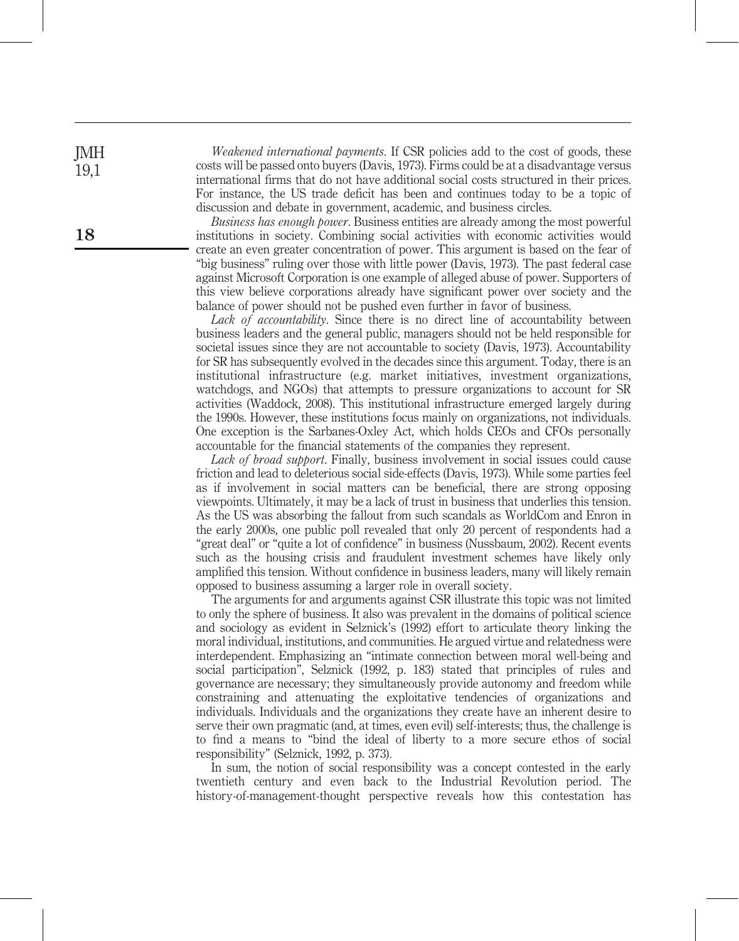Weakened international payments. If CSR policies add to the cost of goods, these costs will be passed onto buyers (Davis, 1973). Firms could be at a disadvantage versus international firms that do not have additional social costs structured in their prices. For instance, the US trade deficit has been and continues today to be a topic of discussion and debate in government, academic, and business circles.

Business has enough power. Business entities are already among the most powerful institutions in society. Combining social activities with economic activities would create an even greater concentration of power. This argument is based on the fear of "big business" ruling over those with little power (Davis, 1973). The past federal case against Microsoft Corporation is one example of alleged abuse of power. Supporters of this view believe corporations already have significant power over society and the balance of power should not be pushed even further in favor of business.

Lack of accountability. Since there is no direct line of accountability between business leaders and the general public, managers should not be held responsible for societal issues since they are not accountable to society (Davis, 1973). Accountability for SR has subsequently evolved in the decades since this argument. Today, there is an institutional infrastructure (e.g. market initiatives, investment organizations, watchdogs, and NGOs) that attempts to pressure organizations to account for SR activities (Waddock, 2008). This institutional infrastructure emerged largely during the 1990s. However, these institutions focus mainly on organizations, not individuals. One exception is the Sarbanes-Oxley Act, which holds CEOs and CFOs personally accountable for the financial statements of the companies they represent.

Lack of broad support. Finally, business involvement in social issues could cause friction and lead to deleterious social side-effects (Davis, 1973). While some parties feel as if involvement in social matters can be beneficial, there are strong opposing viewpoints. Ultimately, it may be a lack of trust in business that underlies this tension. As the US was absorbing the fallout from such scandals as WorldCom and Enron in the early 2000s, one public poll revealed that only 20 percent of respondents had a "great deal" or "quite a lot of confidence" in business (Nussbaum, 2002). Recent events such as the housing crisis and fraudulent investment schemes have likely only amplified this tension. Without confidence in business leaders, many will likely remain opposed to business assuming a larger role in overall society.

The arguments for and arguments against CSR illustrate this topic was not limited to only the sphere of business. It also was prevalent in the domains of political science and sociology as evident in Selznick's (1992) effort to articulate theory linking the moral individual, institutions, and communities. He argued virtue and relatedness were interdependent. Emphasizing an "intimate connection between moral well-being and social participation", Selznick (1992, p. 183) stated that principles of rules and governance are necessary; they simultaneously provide autonomy and freedom while constraining and attenuating the exploitative tendencies of organizations and individuals. Individuals and the organizations they create have an inherent desire to serve their own pragmatic (and, at times, even evil) self-interests; thus, the challenge is to find a means to "bind the ideal of liberty to a more secure ethos of social responsibility" (Selznick, 1992, p. 373).

In sum, the notion of social responsibility was a concept contested in the early twentieth century and even back to the Industrial Revolution period. The history-of-management-thought perspective reveals how this contestation has

JMH 19,1

18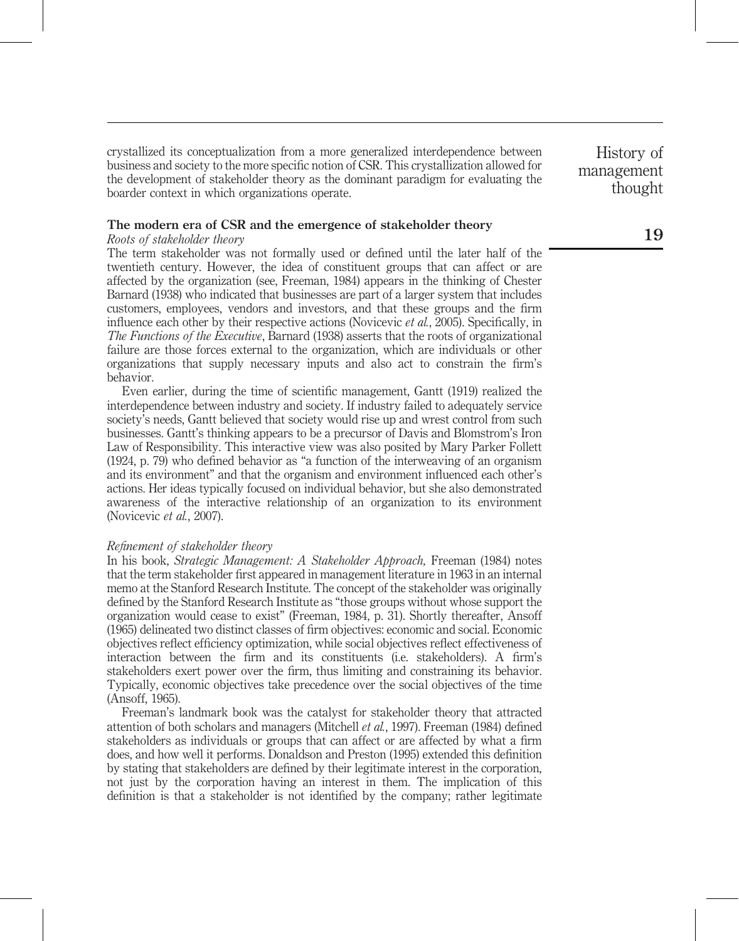crystallized its conceptualization from a more generalized interdependence between business and society to the more specific notion of CSR. This crystallization allowed for the development of stakeholder theory as the dominant paradigm for evaluating the boarder context in which organizations operate.

## The modern era of CSR and the emergence of stakeholder theory

#### Roots of stakeholder theory

The term stakeholder was not formally used or defined until the later half of the twentieth century. However, the idea of constituent groups that can affect or are affected by the organization (see, Freeman, 1984) appears in the thinking of Chester Barnard (1938) who indicated that businesses are part of a larger system that includes customers, employees, vendors and investors, and that these groups and the firm influence each other by their respective actions (Novicevic et al., 2005). Specifically, in The Functions of the Executive, Barnard (1938) asserts that the roots of organizational failure are those forces external to the organization, which are individuals or other organizations that supply necessary inputs and also act to constrain the firm's behavior.

Even earlier, during the time of scientific management, Gantt (1919) realized the interdependence between industry and society. If industry failed to adequately service society's needs, Gantt believed that society would rise up and wrest control from such businesses. Gantt's thinking appears to be a precursor of Davis and Blomstrom's Iron Law of Responsibility. This interactive view was also posited by Mary Parker Follett (1924, p. 79) who defined behavior as "a function of the interweaving of an organism and its environment" and that the organism and environment influenced each other's actions. Her ideas typically focused on individual behavior, but she also demonstrated awareness of the interactive relationship of an organization to its environment (Novicevic et al., 2007).

### Refinement of stakeholder theory

In his book, Strategic Management: A Stakeholder Approach, Freeman (1984) notes that the term stakeholder first appeared in management literature in 1963 in an internal memo at the Stanford Research Institute. The concept of the stakeholder was originally defined by the Stanford Research Institute as "those groups without whose support the organization would cease to exist" (Freeman, 1984, p. 31). Shortly thereafter, Ansoff (1965) delineated two distinct classes of firm objectives: economic and social. Economic objectives reflect efficiency optimization, while social objectives reflect effectiveness of interaction between the firm and its constituents (i.e. stakeholders). A firm's stakeholders exert power over the firm, thus limiting and constraining its behavior. Typically, economic objectives take precedence over the social objectives of the time (Ansoff, 1965).

Freeman's landmark book was the catalyst for stakeholder theory that attracted attention of both scholars and managers (Mitchell et al., 1997). Freeman (1984) defined stakeholders as individuals or groups that can affect or are affected by what a firm does, and how well it performs. Donaldson and Preston (1995) extended this definition by stating that stakeholders are defined by their legitimate interest in the corporation, not just by the corporation having an interest in them. The implication of this definition is that a stakeholder is not identified by the company; rather legitimate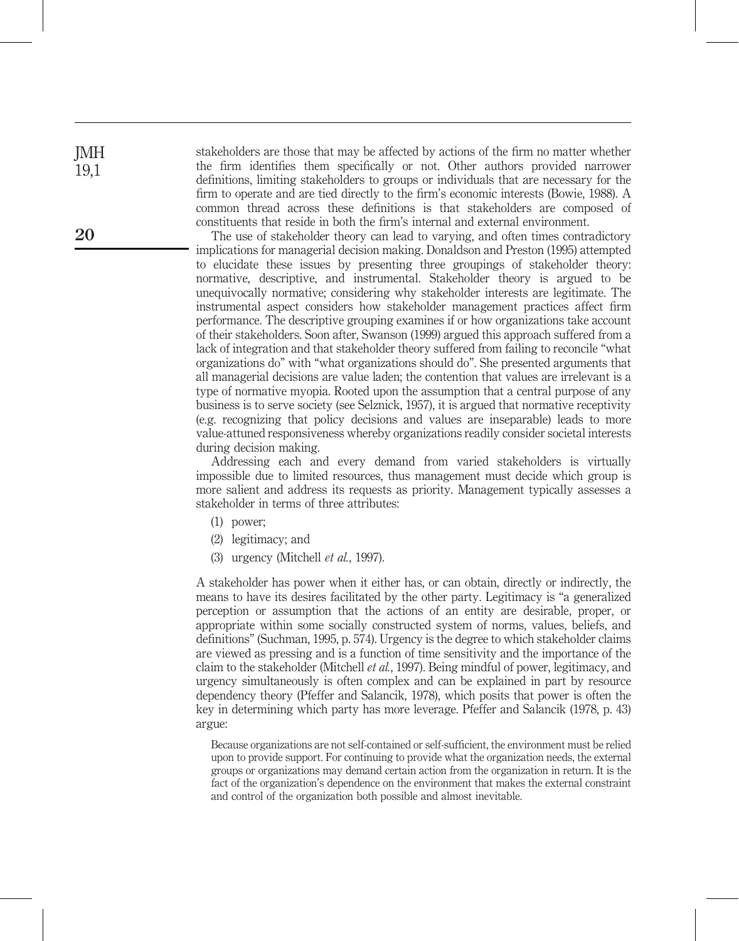stakeholders are those that may be affected by actions of the firm no matter whether the firm identifies them specifically or not. Other authors provided narrower definitions, limiting stakeholders to groups or individuals that are necessary for the firm to operate and are tied directly to the firm's economic interests (Bowie, 1988). A common thread across these definitions is that stakeholders are composed of constituents that reside in both the firm's internal and external environment.

The use of stakeholder theory can lead to varying, and often times contradictory implications for managerial decision making. Donaldson and Preston (1995) attempted to elucidate these issues by presenting three groupings of stakeholder theory: normative, descriptive, and instrumental. Stakeholder theory is argued to be unequivocally normative; considering why stakeholder interests are legitimate. The instrumental aspect considers how stakeholder management practices affect firm performance. The descriptive grouping examines if or how organizations take account of their stakeholders. Soon after, Swanson (1999) argued this approach suffered from a lack of integration and that stakeholder theory suffered from failing to reconcile "what organizations do" with "what organizations should do". She presented arguments that all managerial decisions are value laden; the contention that values are irrelevant is a type of normative myopia. Rooted upon the assumption that a central purpose of any business is to serve society (see Selznick, 1957), it is argued that normative receptivity (e.g. recognizing that policy decisions and values are inseparable) leads to more value-attuned responsiveness whereby organizations readily consider societal interests during decision making.

Addressing each and every demand from varied stakeholders is virtually impossible due to limited resources, thus management must decide which group is more salient and address its requests as priority. Management typically assesses a stakeholder in terms of three attributes:

- (1) power;
- (2) legitimacy; and
- (3) urgency (Mitchell et al., 1997).

A stakeholder has power when it either has, or can obtain, directly or indirectly, the means to have its desires facilitated by the other party. Legitimacy is "a generalized perception or assumption that the actions of an entity are desirable, proper, or appropriate within some socially constructed system of norms, values, beliefs, and definitions" (Suchman, 1995, p. 574). Urgency is the degree to which stakeholder claims are viewed as pressing and is a function of time sensitivity and the importance of the claim to the stakeholder (Mitchell et al., 1997). Being mindful of power, legitimacy, and urgency simultaneously is often complex and can be explained in part by resource dependency theory (Pfeffer and Salancik, 1978), which posits that power is often the key in determining which party has more leverage. Pfeffer and Salancik (1978, p. 43) argue:

Because organizations are not self-contained or self-sufficient, the environment must be relied upon to provide support. For continuing to provide what the organization needs, the external groups or organizations may demand certain action from the organization in return. It is the fact of the organization's dependence on the environment that makes the external constraint and control of the organization both possible and almost inevitable.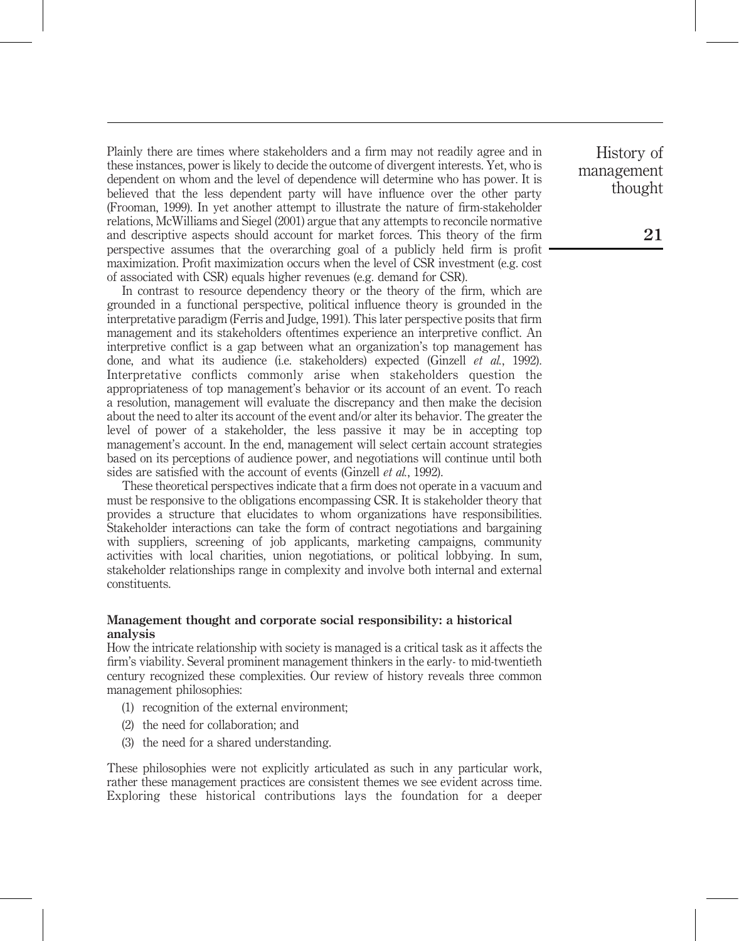Plainly there are times where stakeholders and a firm may not readily agree and in these instances, power is likely to decide the outcome of divergent interests. Yet, who is dependent on whom and the level of dependence will determine who has power. It is believed that the less dependent party will have influence over the other party (Frooman, 1999). In yet another attempt to illustrate the nature of firm-stakeholder relations, McWilliams and Siegel (2001) argue that any attempts to reconcile normative and descriptive aspects should account for market forces. This theory of the firm perspective assumes that the overarching goal of a publicly held firm is profit maximization. Profit maximization occurs when the level of CSR investment (e.g. cost of associated with CSR) equals higher revenues (e.g. demand for CSR).

In contrast to resource dependency theory or the theory of the firm, which are grounded in a functional perspective, political influence theory is grounded in the interpretative paradigm (Ferris and Judge, 1991). This later perspective posits that firm management and its stakeholders oftentimes experience an interpretive conflict. An interpretive conflict is a gap between what an organization's top management has done, and what its audience (i.e. stakeholders) expected (Ginzell et al., 1992). Interpretative conflicts commonly arise when stakeholders question the appropriateness of top management's behavior or its account of an event. To reach a resolution, management will evaluate the discrepancy and then make the decision about the need to alter its account of the event and/or alter its behavior. The greater the level of power of a stakeholder, the less passive it may be in accepting top management's account. In the end, management will select certain account strategies based on its perceptions of audience power, and negotiations will continue until both sides are satisfied with the account of events (Ginzell et al., 1992).

These theoretical perspectives indicate that a firm does not operate in a vacuum and must be responsive to the obligations encompassing CSR. It is stakeholder theory that provides a structure that elucidates to whom organizations have responsibilities. Stakeholder interactions can take the form of contract negotiations and bargaining with suppliers, screening of job applicants, marketing campaigns, community activities with local charities, union negotiations, or political lobbying. In sum, stakeholder relationships range in complexity and involve both internal and external constituents.

# Management thought and corporate social responsibility: a historical analysis

How the intricate relationship with society is managed is a critical task as it affects the firm's viability. Several prominent management thinkers in the early- to mid-twentieth century recognized these complexities. Our review of history reveals three common management philosophies:

- (1) recognition of the external environment;
- (2) the need for collaboration; and
- (3) the need for a shared understanding.

These philosophies were not explicitly articulated as such in any particular work, rather these management practices are consistent themes we see evident across time. Exploring these historical contributions lays the foundation for a deeper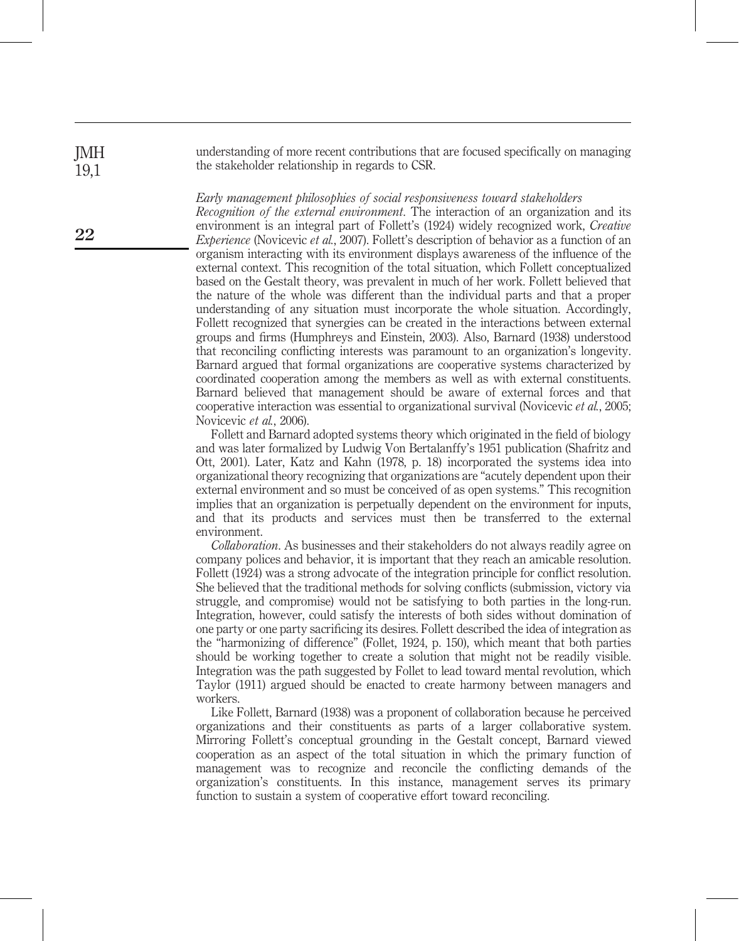understanding of more recent contributions that are focused specifically on managing the stakeholder relationship in regards to CSR.

## Early management philosophies of social responsiveness toward stakeholders

Recognition of the external environment. The interaction of an organization and its environment is an integral part of Follett's (1924) widely recognized work, Creative Experience (Novicevic et al., 2007). Follett's description of behavior as a function of an organism interacting with its environment displays awareness of the influence of the external context. This recognition of the total situation, which Follett conceptualized based on the Gestalt theory, was prevalent in much of her work. Follett believed that the nature of the whole was different than the individual parts and that a proper understanding of any situation must incorporate the whole situation. Accordingly, Follett recognized that synergies can be created in the interactions between external groups and firms (Humphreys and Einstein, 2003). Also, Barnard (1938) understood that reconciling conflicting interests was paramount to an organization's longevity. Barnard argued that formal organizations are cooperative systems characterized by coordinated cooperation among the members as well as with external constituents. Barnard believed that management should be aware of external forces and that cooperative interaction was essential to organizational survival (Novicevic et al., 2005; Novicevic *et al.*, 2006).

Follett and Barnard adopted systems theory which originated in the field of biology and was later formalized by Ludwig Von Bertalanffy's 1951 publication (Shafritz and Ott, 2001). Later, Katz and Kahn (1978, p. 18) incorporated the systems idea into organizational theory recognizing that organizations are "acutely dependent upon their external environment and so must be conceived of as open systems." This recognition implies that an organization is perpetually dependent on the environment for inputs, and that its products and services must then be transferred to the external environment.

Collaboration. As businesses and their stakeholders do not always readily agree on company polices and behavior, it is important that they reach an amicable resolution. Follett (1924) was a strong advocate of the integration principle for conflict resolution. She believed that the traditional methods for solving conflicts (submission, victory via struggle, and compromise) would not be satisfying to both parties in the long-run. Integration, however, could satisfy the interests of both sides without domination of one party or one party sacrificing its desires. Follett described the idea of integration as the "harmonizing of difference" (Follet, 1924, p. 150), which meant that both parties should be working together to create a solution that might not be readily visible. Integration was the path suggested by Follet to lead toward mental revolution, which Taylor (1911) argued should be enacted to create harmony between managers and workers.

Like Follett, Barnard (1938) was a proponent of collaboration because he perceived organizations and their constituents as parts of a larger collaborative system. Mirroring Follett's conceptual grounding in the Gestalt concept, Barnard viewed cooperation as an aspect of the total situation in which the primary function of management was to recognize and reconcile the conflicting demands of the organization's constituents. In this instance, management serves its primary function to sustain a system of cooperative effort toward reconciling.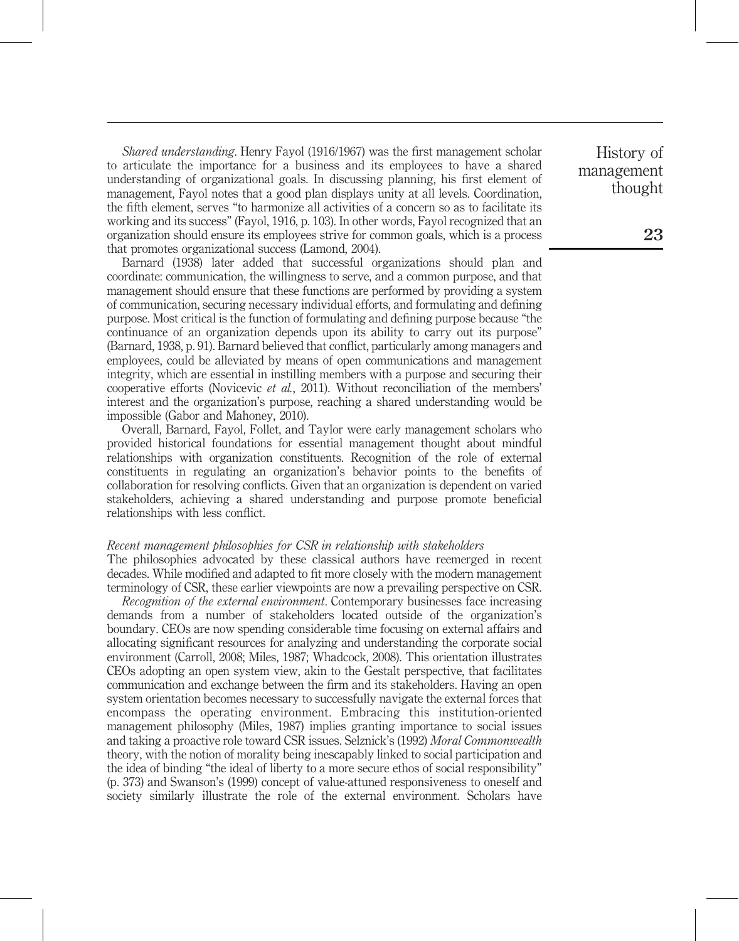Shared understanding. Henry Fayol (1916/1967) was the first management scholar to articulate the importance for a business and its employees to have a shared understanding of organizational goals. In discussing planning, his first element of management, Fayol notes that a good plan displays unity at all levels. Coordination, the fifth element, serves "to harmonize all activities of a concern so as to facilitate its working and its success" (Fayol, 1916, p. 103). In other words, Fayol recognized that an organization should ensure its employees strive for common goals, which is a process that promotes organizational success (Lamond, 2004).

Barnard (1938) later added that successful organizations should plan and coordinate: communication, the willingness to serve, and a common purpose, and that management should ensure that these functions are performed by providing a system of communication, securing necessary individual efforts, and formulating and defining purpose. Most critical is the function of formulating and defining purpose because "the continuance of an organization depends upon its ability to carry out its purpose" (Barnard, 1938, p. 91). Barnard believed that conflict, particularly among managers and employees, could be alleviated by means of open communications and management integrity, which are essential in instilling members with a purpose and securing their cooperative efforts (Novicevic et al., 2011). Without reconciliation of the members' interest and the organization's purpose, reaching a shared understanding would be impossible (Gabor and Mahoney, 2010).

Overall, Barnard, Fayol, Follet, and Taylor were early management scholars who provided historical foundations for essential management thought about mindful relationships with organization constituents. Recognition of the role of external constituents in regulating an organization's behavior points to the benefits of collaboration for resolving conflicts. Given that an organization is dependent on varied stakeholders, achieving a shared understanding and purpose promote beneficial relationships with less conflict.

#### Recent management philosophies for CSR in relationship with stakeholders

The philosophies advocated by these classical authors have reemerged in recent decades. While modified and adapted to fit more closely with the modern management terminology of CSR, these earlier viewpoints are now a prevailing perspective on CSR.

Recognition of the external environment. Contemporary businesses face increasing demands from a number of stakeholders located outside of the organization's boundary. CEOs are now spending considerable time focusing on external affairs and allocating significant resources for analyzing and understanding the corporate social environment (Carroll, 2008; Miles, 1987; Whadcock, 2008). This orientation illustrates CEOs adopting an open system view, akin to the Gestalt perspective, that facilitates communication and exchange between the firm and its stakeholders. Having an open system orientation becomes necessary to successfully navigate the external forces that encompass the operating environment. Embracing this institution-oriented management philosophy (Miles, 1987) implies granting importance to social issues and taking a proactive role toward CSR issues. Selznick's (1992) Moral Commonwealth theory, with the notion of morality being inescapably linked to social participation and the idea of binding "the ideal of liberty to a more secure ethos of social responsibility" (p. 373) and Swanson's (1999) concept of value-attuned responsiveness to oneself and society similarly illustrate the role of the external environment. Scholars have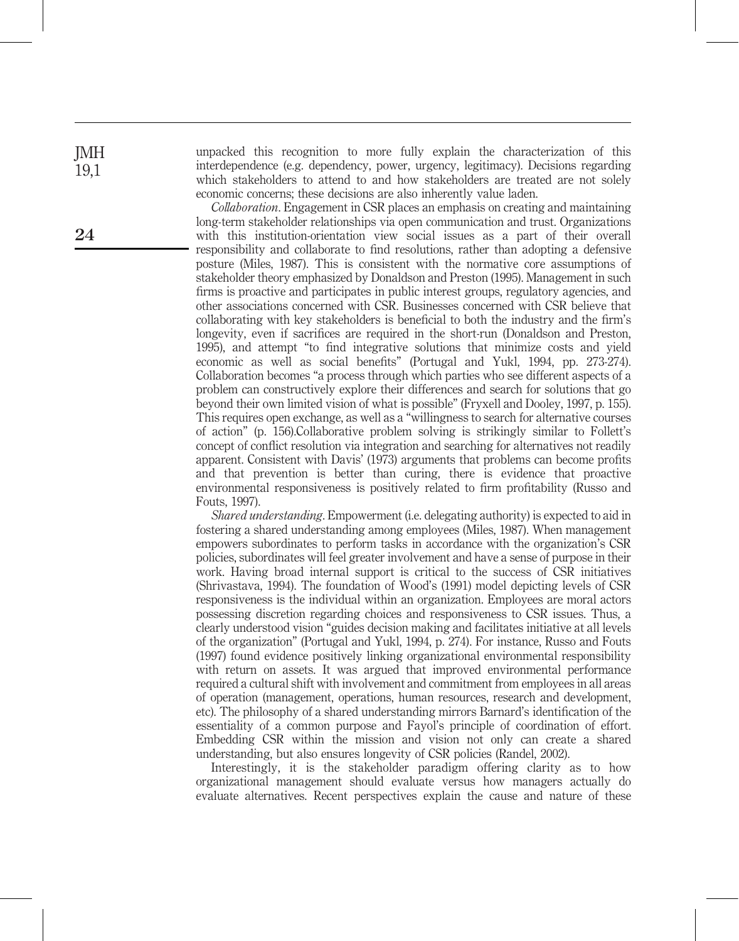unpacked this recognition to more fully explain the characterization of this interdependence (e.g. dependency, power, urgency, legitimacy). Decisions regarding which stakeholders to attend to and how stakeholders are treated are not solely economic concerns; these decisions are also inherently value laden.

Collaboration. Engagement in CSR places an emphasis on creating and maintaining long-term stakeholder relationships via open communication and trust. Organizations with this institution-orientation view social issues as a part of their overall responsibility and collaborate to find resolutions, rather than adopting a defensive posture (Miles, 1987). This is consistent with the normative core assumptions of stakeholder theory emphasized by Donaldson and Preston (1995). Management in such firms is proactive and participates in public interest groups, regulatory agencies, and other associations concerned with CSR. Businesses concerned with CSR believe that collaborating with key stakeholders is beneficial to both the industry and the firm's longevity, even if sacrifices are required in the short-run (Donaldson and Preston, 1995), and attempt "to find integrative solutions that minimize costs and yield economic as well as social benefits" (Portugal and Yukl, 1994, pp. 273-274). Collaboration becomes "a process through which parties who see different aspects of a problem can constructively explore their differences and search for solutions that go beyond their own limited vision of what is possible" (Fryxell and Dooley, 1997, p. 155). This requires open exchange, as well as a "willingness to search for alternative courses of action" (p. 156).Collaborative problem solving is strikingly similar to Follett's concept of conflict resolution via integration and searching for alternatives not readily apparent. Consistent with Davis' (1973) arguments that problems can become profits and that prevention is better than curing, there is evidence that proactive environmental responsiveness is positively related to firm profitability (Russo and Fouts, 1997).

Shared understanding. Empowerment (i.e. delegating authority) is expected to aid in fostering a shared understanding among employees (Miles, 1987). When management empowers subordinates to perform tasks in accordance with the organization's CSR policies, subordinates will feel greater involvement and have a sense of purpose in their work. Having broad internal support is critical to the success of CSR initiatives (Shrivastava, 1994). The foundation of Wood's (1991) model depicting levels of CSR responsiveness is the individual within an organization. Employees are moral actors possessing discretion regarding choices and responsiveness to CSR issues. Thus, a clearly understood vision "guides decision making and facilitates initiative at all levels of the organization" (Portugal and Yukl, 1994, p. 274). For instance, Russo and Fouts (1997) found evidence positively linking organizational environmental responsibility with return on assets. It was argued that improved environmental performance required a cultural shift with involvement and commitment from employees in all areas of operation (management, operations, human resources, research and development, etc). The philosophy of a shared understanding mirrors Barnard's identification of the essentiality of a common purpose and Fayol's principle of coordination of effort. Embedding CSR within the mission and vision not only can create a shared understanding, but also ensures longevity of CSR policies (Randel, 2002).

Interestingly, it is the stakeholder paradigm offering clarity as to how organizational management should evaluate versus how managers actually do evaluate alternatives. Recent perspectives explain the cause and nature of these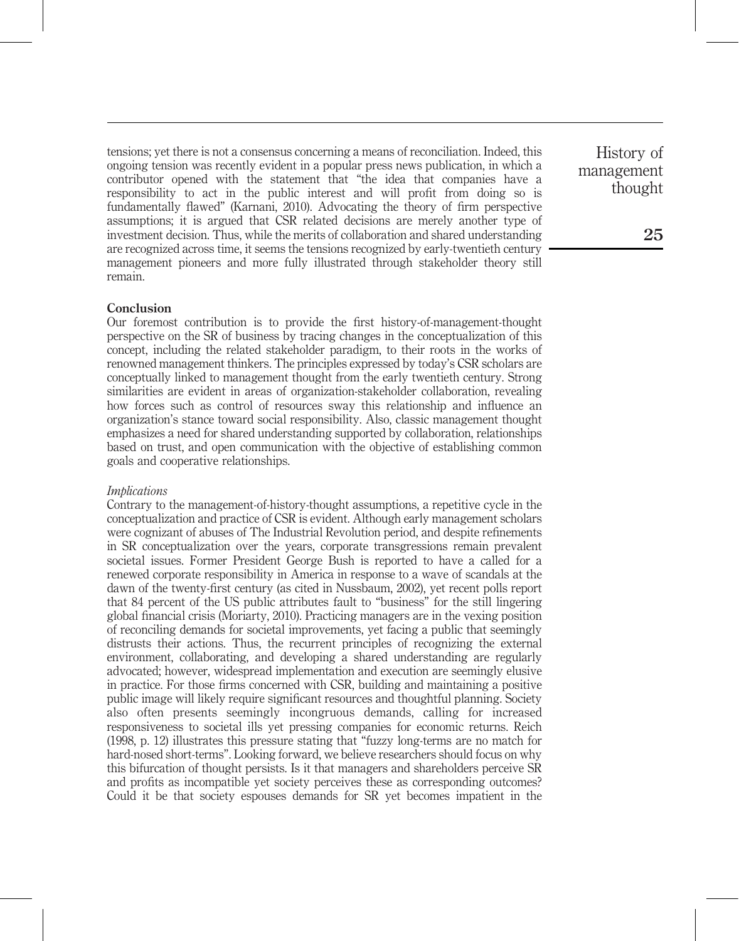tensions; yet there is not a consensus concerning a means of reconciliation. Indeed, this ongoing tension was recently evident in a popular press news publication, in which a contributor opened with the statement that "the idea that companies have a responsibility to act in the public interest and will profit from doing so is fundamentally flawed" (Karnani, 2010). Advocating the theory of firm perspective assumptions; it is argued that CSR related decisions are merely another type of investment decision. Thus, while the merits of collaboration and shared understanding are recognized across time, it seems the tensions recognized by early-twentieth century management pioneers and more fully illustrated through stakeholder theory still remain.

# **Conclusion**

Our foremost contribution is to provide the first history-of-management-thought perspective on the SR of business by tracing changes in the conceptualization of this concept, including the related stakeholder paradigm, to their roots in the works of renowned management thinkers. The principles expressed by today's CSR scholars are conceptually linked to management thought from the early twentieth century. Strong similarities are evident in areas of organization-stakeholder collaboration, revealing how forces such as control of resources sway this relationship and influence an organization's stance toward social responsibility. Also, classic management thought emphasizes a need for shared understanding supported by collaboration, relationships based on trust, and open communication with the objective of establishing common goals and cooperative relationships.

# **Implications**

Contrary to the management-of-history-thought assumptions, a repetitive cycle in the conceptualization and practice of CSR is evident. Although early management scholars were cognizant of abuses of The Industrial Revolution period, and despite refinements in SR conceptualization over the years, corporate transgressions remain prevalent societal issues. Former President George Bush is reported to have a called for a renewed corporate responsibility in America in response to a wave of scandals at the dawn of the twenty-first century (as cited in Nussbaum, 2002), yet recent polls report that 84 percent of the US public attributes fault to "business" for the still lingering global financial crisis (Moriarty, 2010). Practicing managers are in the vexing position of reconciling demands for societal improvements, yet facing a public that seemingly distrusts their actions. Thus, the recurrent principles of recognizing the external environment, collaborating, and developing a shared understanding are regularly advocated; however, widespread implementation and execution are seemingly elusive in practice. For those firms concerned with CSR, building and maintaining a positive public image will likely require significant resources and thoughtful planning. Society also often presents seemingly incongruous demands, calling for increased responsiveness to societal ills yet pressing companies for economic returns. Reich (1998, p. 12) illustrates this pressure stating that "fuzzy long-terms are no match for hard-nosed short-terms". Looking forward, we believe researchers should focus on why this bifurcation of thought persists. Is it that managers and shareholders perceive SR and profits as incompatible yet society perceives these as corresponding outcomes? Could it be that society espouses demands for SR yet becomes impatient in the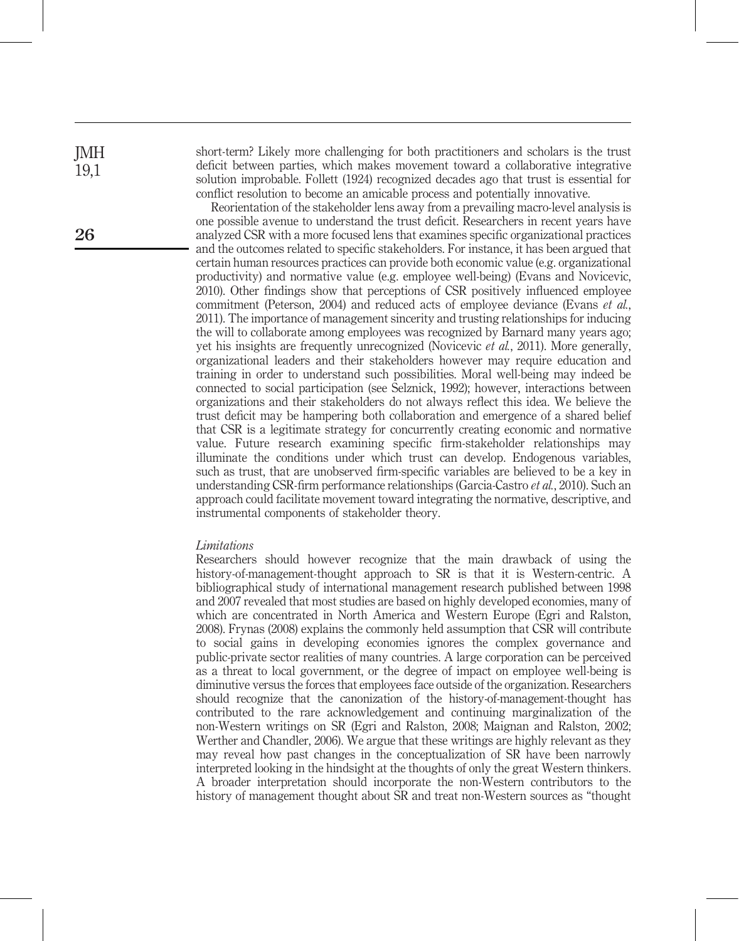JMH 19,1

short-term? Likely more challenging for both practitioners and scholars is the trust deficit between parties, which makes movement toward a collaborative integrative solution improbable. Follett (1924) recognized decades ago that trust is essential for conflict resolution to become an amicable process and potentially innovative.

Reorientation of the stakeholder lens away from a prevailing macro-level analysis is one possible avenue to understand the trust deficit. Researchers in recent years have analyzed CSR with a more focused lens that examines specific organizational practices and the outcomes related to specific stakeholders. For instance, it has been argued that certain human resources practices can provide both economic value (e.g. organizational productivity) and normative value (e.g. employee well-being) (Evans and Novicevic, 2010). Other findings show that perceptions of CSR positively influenced employee commitment (Peterson, 2004) and reduced acts of employee deviance (Evans et al., 2011). The importance of management sincerity and trusting relationships for inducing the will to collaborate among employees was recognized by Barnard many years ago; yet his insights are frequently unrecognized (Novicevic et al., 2011). More generally, organizational leaders and their stakeholders however may require education and training in order to understand such possibilities. Moral well-being may indeed be connected to social participation (see Selznick, 1992); however, interactions between organizations and their stakeholders do not always reflect this idea. We believe the trust deficit may be hampering both collaboration and emergence of a shared belief that CSR is a legitimate strategy for concurrently creating economic and normative value. Future research examining specific firm-stakeholder relationships may illuminate the conditions under which trust can develop. Endogenous variables, such as trust, that are unobserved firm-specific variables are believed to be a key in understanding CSR-firm performance relationships (Garcia-Castro et al., 2010). Such an approach could facilitate movement toward integrating the normative, descriptive, and instrumental components of stakeholder theory.

# Limitations

Researchers should however recognize that the main drawback of using the history-of-management-thought approach to SR is that it is Western-centric. A bibliographical study of international management research published between 1998 and 2007 revealed that most studies are based on highly developed economies, many of which are concentrated in North America and Western Europe (Egri and Ralston, 2008). Frynas (2008) explains the commonly held assumption that CSR will contribute to social gains in developing economies ignores the complex governance and public-private sector realities of many countries. A large corporation can be perceived as a threat to local government, or the degree of impact on employee well-being is diminutive versus the forces that employees face outside of the organization. Researchers should recognize that the canonization of the history-of-management-thought has contributed to the rare acknowledgement and continuing marginalization of the non-Western writings on SR (Egri and Ralston, 2008; Maignan and Ralston, 2002; Werther and Chandler, 2006). We argue that these writings are highly relevant as they may reveal how past changes in the conceptualization of SR have been narrowly interpreted looking in the hindsight at the thoughts of only the great Western thinkers. A broader interpretation should incorporate the non-Western contributors to the history of management thought about SR and treat non-Western sources as "thought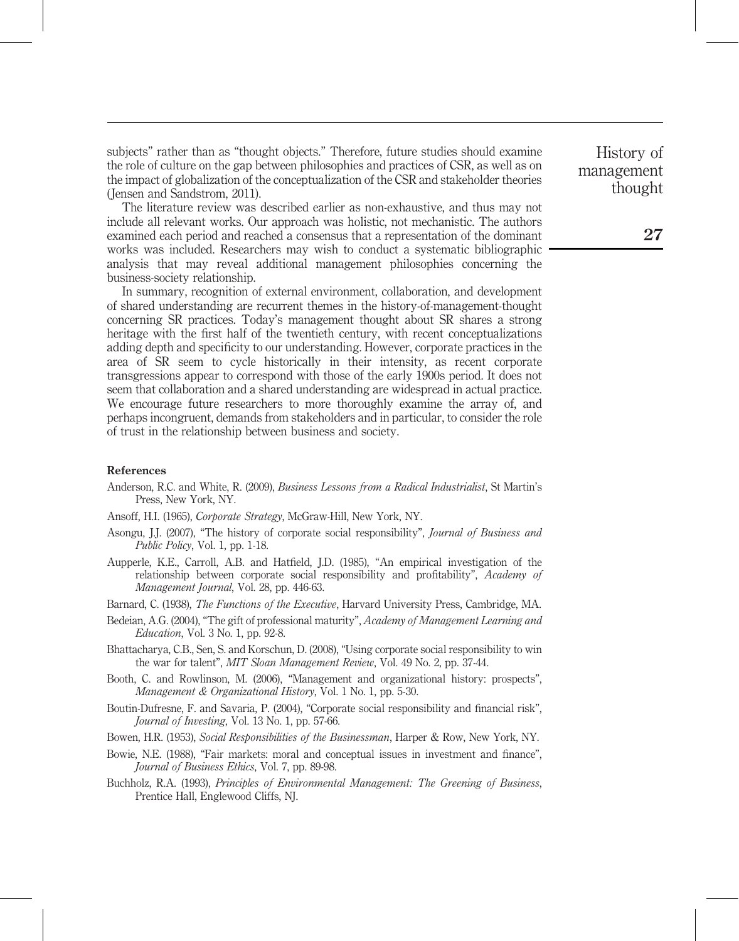subjects" rather than as "thought objects." Therefore, future studies should examine the role of culture on the gap between philosophies and practices of CSR, as well as on the impact of globalization of the conceptualization of the CSR and stakeholder theories (Jensen and Sandstrom, 2011).

The literature review was described earlier as non-exhaustive, and thus may not include all relevant works. Our approach was holistic, not mechanistic. The authors examined each period and reached a consensus that a representation of the dominant works was included. Researchers may wish to conduct a systematic bibliographic analysis that may reveal additional management philosophies concerning the business-society relationship.

In summary, recognition of external environment, collaboration, and development of shared understanding are recurrent themes in the history-of-management-thought concerning SR practices. Today's management thought about SR shares a strong heritage with the first half of the twentieth century, with recent conceptualizations adding depth and specificity to our understanding. However, corporate practices in the area of SR seem to cycle historically in their intensity, as recent corporate transgressions appear to correspond with those of the early 1900s period. It does not seem that collaboration and a shared understanding are widespread in actual practice. We encourage future researchers to more thoroughly examine the array of, and perhaps incongruent, demands from stakeholders and in particular, to consider the role of trust in the relationship between business and society.

# References

- Anderson, R.C. and White, R. (2009), *Business Lessons from a Radical Industrialist*, St Martin's Press, New York, NY.
- Ansoff, H.I. (1965), Corporate Strategy, McGraw-Hill, New York, NY.
- Asongu, J.J. (2007), "The history of corporate social responsibility", Journal of Business and Public Policy, Vol. 1, pp. 1-18.
- Aupperle, K.E., Carroll, A.B. and Hatfield, J.D. (1985), "An empirical investigation of the relationship between corporate social responsibility and profitability", Academy of Management Journal, Vol. 28, pp. 446-63.
- Barnard, C. (1938), The Functions of the Executive, Harvard University Press, Cambridge, MA.
- Bedeian, A.G. (2004), "The gift of professional maturity", Academy of Management Learning and Education, Vol. 3 No. 1, pp. 92-8.
- Bhattacharya, C.B., Sen, S. and Korschun, D. (2008), "Using corporate social responsibility to win the war for talent", MIT Sloan Management Review, Vol. 49 No. 2, pp. 37-44.
- Booth, C. and Rowlinson, M. (2006), "Management and organizational history: prospects", Management & Organizational History, Vol. 1 No. 1, pp. 5-30.
- Boutin-Dufresne, F. and Savaria, P. (2004), "Corporate social responsibility and financial risk", Journal of Investing, Vol. 13 No. 1, pp. 57-66.
- Bowen, H.R. (1953), Social Responsibilities of the Businessman, Harper & Row, New York, NY.
- Bowie, N.E. (1988), "Fair markets: moral and conceptual issues in investment and finance", Journal of Business Ethics, Vol. 7, pp. 89-98.
- Buchholz, R.A. (1993), Principles of Environmental Management: The Greening of Business, Prentice Hall, Englewood Cliffs, NJ.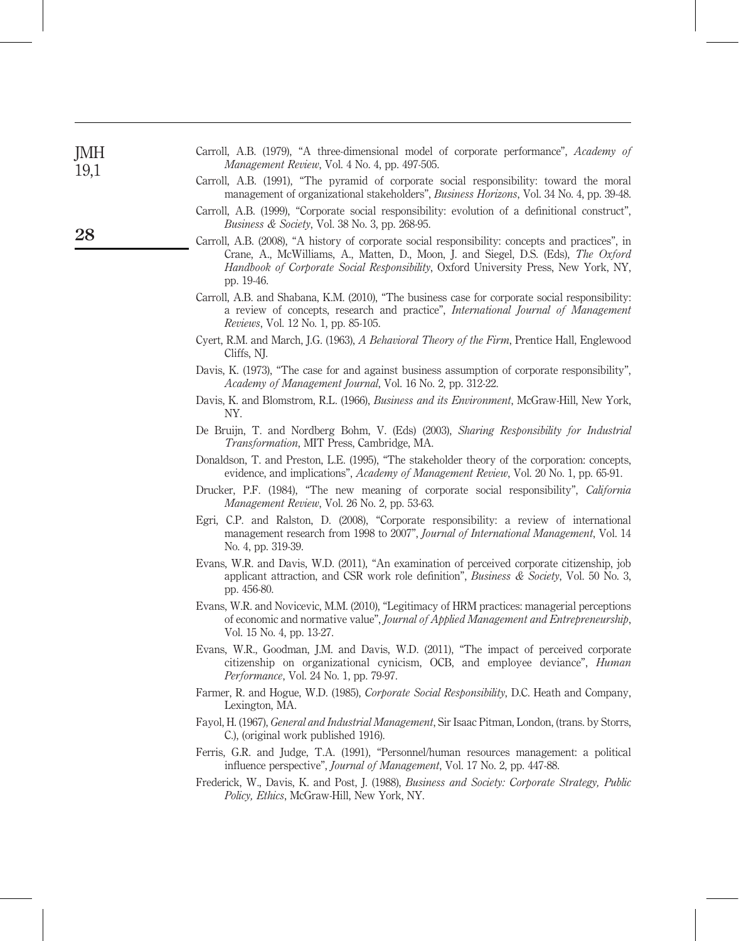| JMH<br>19,1 | Carroll, A.B. (1979), "A three-dimensional model of corporate performance", Academy of<br>Management Review, Vol. 4 No. 4, pp. 497-505.                                                                                                                                                     |
|-------------|---------------------------------------------------------------------------------------------------------------------------------------------------------------------------------------------------------------------------------------------------------------------------------------------|
|             | Carroll, A.B. (1991), "The pyramid of corporate social responsibility: toward the moral<br>management of organizational stakeholders", Business Horizons, Vol. 34 No. 4, pp. 39-48.                                                                                                         |
|             | Carroll, A.B. (1999), "Corporate social responsibility: evolution of a definitional construct",<br>Business & Society, Vol. 38 No. 3, pp. 268-95.                                                                                                                                           |
| 28          | Carroll, A.B. (2008), "A history of corporate social responsibility: concepts and practices", in<br>Crane, A., McWilliams, A., Matten, D., Moon, J. and Siegel, D.S. (Eds), The Oxford<br>Handbook of Corporate Social Responsibility, Oxford University Press, New York, NY,<br>pp. 19-46. |
|             | Carroll, A.B. and Shabana, K.M. (2010), "The business case for corporate social responsibility:<br>a review of concepts, research and practice", International Journal of Management<br><i>Reviews</i> , Vol. 12 No. 1, pp. 85-105.                                                         |
|             | Cyert, R.M. and March, J.G. (1963), A Behavioral Theory of the Firm, Prentice Hall, Englewood<br>Cliffs, NJ.                                                                                                                                                                                |
|             | Davis, K. (1973), "The case for and against business assumption of corporate responsibility",<br>Academy of Management Journal, Vol. 16 No. 2, pp. 312-22.                                                                                                                                  |
|             | Davis, K. and Blomstrom, R.L. (1966), Business and its Environment, McGraw-Hill, New York,<br>NY.                                                                                                                                                                                           |
|             | De Bruijn, T. and Nordberg Bohm, V. (Eds) (2003), Sharing Responsibility for Industrial<br>Transformation, MIT Press, Cambridge, MA.                                                                                                                                                        |
|             | Donaldson, T. and Preston, L.E. (1995), "The stakeholder theory of the corporation: concepts,<br>evidence, and implications", Academy of Management Review, Vol. 20 No. 1, pp. 65-91.                                                                                                       |
|             | Drucker, P.F. (1984), "The new meaning of corporate social responsibility", <i>California</i><br>Management Review, Vol. 26 No. 2, pp. 53-63.                                                                                                                                               |
|             | Egri, C.P. and Ralston, D. (2008), "Corporate responsibility: a review of international<br>management research from 1998 to 2007", Journal of International Management, Vol. 14<br>No. 4, pp. 319-39.                                                                                       |
|             | Evans, W.R. and Davis, W.D. (2011), "An examination of perceived corporate citizenship, job<br>applicant attraction, and CSR work role definition", Business & Society, Vol. 50 No. 3,<br>pp. 456-80.                                                                                       |
|             | Evans, W.R. and Novicevic, M.M. (2010), "Legitimacy of HRM practices: managerial perceptions<br>of economic and normative value", Journal of Applied Management and Entrepreneurship,<br>Vol. 15 No. 4, pp. 13-27.                                                                          |
|             | Evans, W.R., Goodman, J.M. and Davis, W.D. (2011), "The impact of perceived corporate<br>citizenship on organizational cynicism, OCB, and employee deviance", <i>Human</i><br><i>Performance</i> , Vol. 24 No. 1, pp. 79-97.                                                                |
|             | Farmer, R. and Hogue, W.D. (1985), <i>Corporate Social Responsibility</i> , D.C. Heath and Company,<br>Lexington, MA.                                                                                                                                                                       |
|             | Fayol, H. (1967), <i>General and Industrial Management</i> , Sir Isaac Pitman, London, (trans. by Storrs,<br>C.), (original work published 1916).                                                                                                                                           |
|             | Ferris, G.R. and Judge, T.A. (1991), "Personnel/human resources management: a political<br>influence perspective", Journal of Management, Vol. 17 No. 2, pp. 447-88.                                                                                                                        |
|             | Frederick, W., Davis, K. and Post, J. (1988), Business and Society: Corporate Strategy, Public<br><i>Policy, Ethics, McGraw-Hill, New York, NY.</i>                                                                                                                                         |
|             |                                                                                                                                                                                                                                                                                             |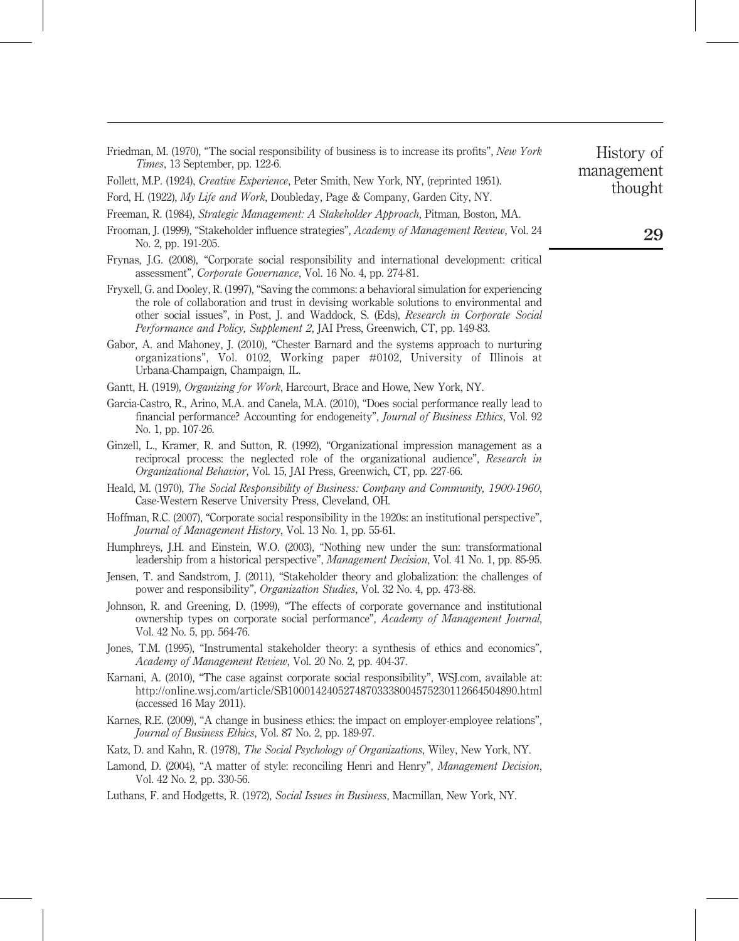- Friedman, M. (1970), "The social responsibility of business is to increase its profits", New York Times, 13 September, pp. 122-6.
- Follett, M.P. (1924), Creative Experience, Peter Smith, New York, NY, (reprinted 1951).
- Ford, H. (1922), My Life and Work, Doubleday, Page & Company, Garden City, NY.
- Freeman, R. (1984), Strategic Management: A Stakeholder Approach, Pitman, Boston, MA.
- Frooman, J. (1999), "Stakeholder influence strategies", Academy of Management Review, Vol. 24 No. 2, pp. 191-205.
- Frynas, J.G. (2008), "Corporate social responsibility and international development: critical assessment", Corporate Governance, Vol. 16 No. 4, pp. 274-81.
- Fryxell, G. and Dooley, R. (1997), "Saving the commons: a behavioral simulation for experiencing the role of collaboration and trust in devising workable solutions to environmental and other social issues", in Post, J. and Waddock, S. (Eds), Research in Corporate Social Performance and Policy, Supplement 2, JAI Press, Greenwich, CT, pp. 149-83.
- Gabor, A. and Mahoney, J. (2010), "Chester Barnard and the systems approach to nurturing organizations", Vol. 0102, Working paper #0102, University of Illinois at Urbana-Champaign, Champaign, IL.
- Gantt, H. (1919), Organizing for Work, Harcourt, Brace and Howe, New York, NY.
- Garcia-Castro, R., Arino, M.A. and Canela, M.A. (2010), "Does social performance really lead to financial performance? Accounting for endogeneity", Journal of Business Ethics, Vol. 92 No. 1, pp. 107-26.
- Ginzell, L., Kramer, R. and Sutton, R. (1992), "Organizational impression management as a reciprocal process: the neglected role of the organizational audience", Research in Organizational Behavior, Vol. 15, JAI Press, Greenwich, CT, pp. 227-66.
- Heald, M. (1970), The Social Responsibility of Business: Company and Community, 1900-1960, Case-Western Reserve University Press, Cleveland, OH.
- Hoffman, R.C. (2007), "Corporate social responsibility in the 1920s: an institutional perspective", Journal of Management History, Vol. 13 No. 1, pp. 55-61.
- Humphreys, J.H. and Einstein, W.O. (2003), "Nothing new under the sun: transformational leadership from a historical perspective", Management Decision, Vol. 41 No. 1, pp. 85-95.
- Jensen, T. and Sandstrom, J. (2011), "Stakeholder theory and globalization: the challenges of power and responsibility", Organization Studies, Vol. 32 No. 4, pp. 473-88.
- Johnson, R. and Greening, D. (1999), "The effects of corporate governance and institutional ownership types on corporate social performance", Academy of Management Journal, Vol. 42 No. 5, pp. 564-76.
- Jones, T.M. (1995), "Instrumental stakeholder theory: a synthesis of ethics and economics", Academy of Management Review, Vol. 20 No. 2, pp. 404-37.
- Karnani, A. (2010), "The case against corporate social responsibility", WSJ.com, available at: http://online.wsj.com/article/SB10001424052748703338004575230112664504890.html (accessed 16 May 2011).
- Karnes, R.E. (2009), "A change in business ethics: the impact on employer-employee relations", Journal of Business Ethics, Vol. 87 No. 2, pp. 189-97.
- Katz, D. and Kahn, R. (1978), The Social Psychology of Organizations, Wiley, New York, NY.
- Lamond, D. (2004), "A matter of style: reconciling Henri and Henry", Management Decision, Vol. 42 No. 2, pp. 330-56.
- Luthans, F. and Hodgetts, R. (1972), Social Issues in Business, Macmillan, New York, NY.

29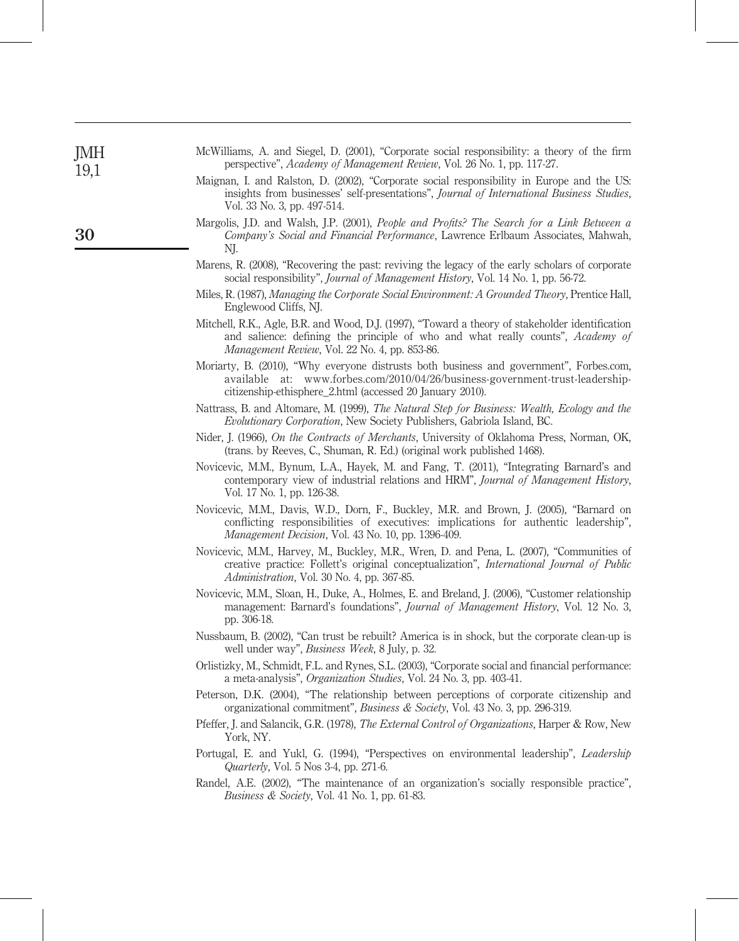| JMH  | McWilliams, A. and Siegel, D. (2001), "Corporate social responsibility: a theory of the firm<br>perspective", Academy of Management Review, Vol. 26 No. 1, pp. 117-27.                                                                       |
|------|----------------------------------------------------------------------------------------------------------------------------------------------------------------------------------------------------------------------------------------------|
| 19,1 | Maignan, I. and Ralston, D. (2002), "Corporate social responsibility in Europe and the US:<br>insights from businesses' self-presentations", Journal of International Business Studies,<br>Vol. 33 No. 3, pp. 497-514.                       |
| 30   | Margolis, J.D. and Walsh, J.P. (2001), People and Profits? The Search for a Link Between a<br>Company's Social and Financial Performance, Lawrence Erlbaum Associates, Mahwah,<br>NJ.                                                        |
|      | Marens, R. (2008), "Recovering the past: reviving the legacy of the early scholars of corporate<br>social responsibility", <i>Journal of Management History</i> , Vol. 14 No. 1, pp. 56-72.                                                  |
|      | Miles, R. (1987), Managing the Corporate Social Environment: A Grounded Theory, Prentice Hall,<br>Englewood Cliffs, NJ.                                                                                                                      |
|      | Mitchell, R.K., Agle, B.R. and Wood, D.J. (1997), "Toward a theory of stakeholder identification<br>and salience: defining the principle of who and what really counts", Academy of<br>Management Review, Vol. 22 No. 4, pp. 853-86.         |
|      | Moriarty, B. (2010), "Why everyone distrusts both business and government", Forbes.com,<br>available at: www.forbes.com/2010/04/26/business-government-trust-leadership-<br>citizenship-ethisphere_2.html (accessed 20 January 2010).        |
|      | Nattrass, B. and Altomare, M. (1999), The Natural Step for Business: Wealth, Ecology and the<br>Evolutionary Corporation, New Society Publishers, Gabriola Island, BC.                                                                       |
|      | Nider, J. (1966), <i>On the Contracts of Merchants</i> , University of Oklahoma Press, Norman, OK,<br>(trans. by Reeves, C., Shuman, R. Ed.) (original work published 1468).                                                                 |
|      | Novicevic, M.M., Bynum, L.A., Hayek, M. and Fang, T. (2011), "Integrating Barnard's and<br>contemporary view of industrial relations and HRM", Journal of Management History,<br>Vol. 17 No. 1, pp. 126-38.                                  |
|      | Novicevic, M.M., Davis, W.D., Dorn, F., Buckley, M.R. and Brown, J. (2005), "Barnard on<br>conflicting responsibilities of executives: implications for authentic leadership",<br><i>Management Decision, Vol. 43 No. 10, pp. 1396-409.</i>  |
|      | Novicevic, M.M., Harvey, M., Buckley, M.R., Wren, D. and Pena, L. (2007), "Communities of<br>creative practice: Follett's original conceptualization", International Journal of Public<br><i>Administration</i> , Vol. 30 No. 4, pp. 367-85. |
|      | Novicevic, M.M., Sloan, H., Duke, A., Holmes, E. and Breland, J. (2006), "Customer relationship<br>management: Barnard's foundations", Journal of Management History, Vol. 12 No. 3,<br>pp. 306-18.                                          |
|      | Nussbaum, B. (2002), "Can trust be rebuilt? America is in shock, but the corporate clean-up is<br>well under way", <i>Business Week</i> , 8 July, p. 32.                                                                                     |
|      | Orlistizky, M., Schmidt, F.L. and Rynes, S.L. (2003), "Corporate social and financial performance:<br>a meta-analysis", <i>Organization Studies</i> , Vol. 24 No. 3, pp. 403-41.                                                             |
|      | Peterson, D.K. (2004), "The relationship between perceptions of corporate citizenship and<br>organizational commitment", Business & Society, Vol. 43 No. 3, pp. 296-319.                                                                     |
|      | Pfeffer, J. and Salancik, G.R. (1978), The External Control of Organizations, Harper & Row, New<br>York, NY.                                                                                                                                 |
|      | Portugal, E. and Yukl, G. (1994), "Perspectives on environmental leadership", Leadership<br>Quarterly, Vol. 5 Nos 3-4, pp. 271-6.                                                                                                            |
|      | Randel, A.E. (2002), "The maintenance of an organization's socially responsible practice",<br>Business & Society, Vol. 41 No. 1, pp. 61-83.                                                                                                  |
|      |                                                                                                                                                                                                                                              |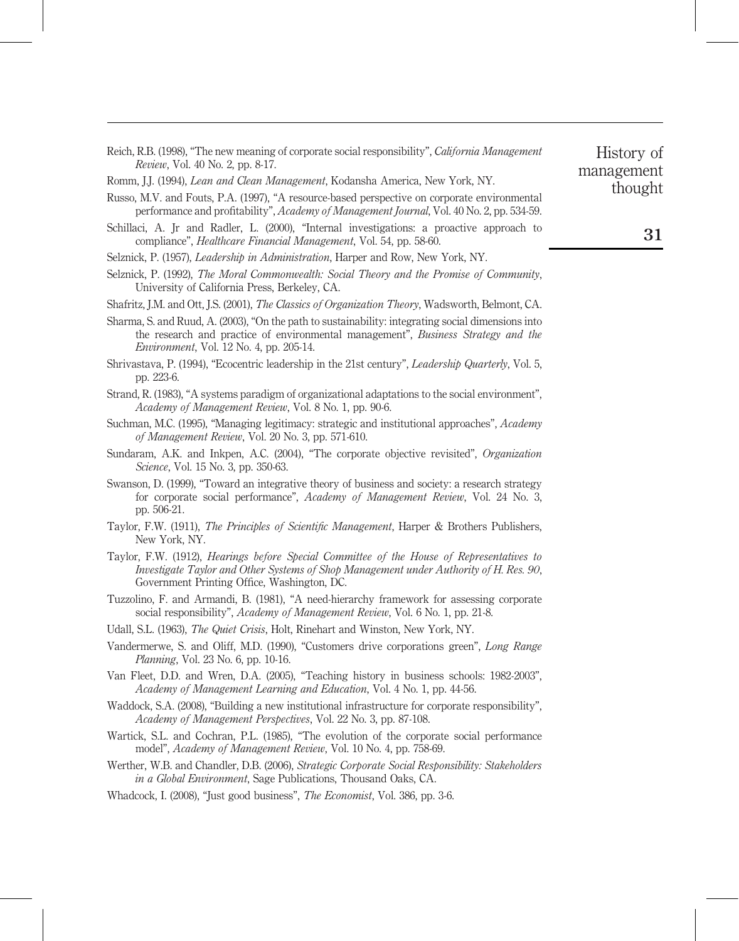Reich, R.B. (1998), "The new meaning of corporate social responsibility", California Management Review, Vol. 40 No. 2, pp. 8-17.

Romm, J.J. (1994), Lean and Clean Management, Kodansha America, New York, NY.

- Russo, M.V. and Fouts, P.A. (1997), "A resource-based perspective on corporate environmental performance and profitability", Academy of Management Journal, Vol. 40 No. 2, pp. 534-59.
- Schillaci, A. Jr and Radler, L. (2000), "Internal investigations: a proactive approach to compliance", Healthcare Financial Management, Vol. 54, pp. 58-60.
- Selznick, P. (1957), Leadership in Administration, Harper and Row, New York, NY.
- Selznick, P. (1992), The Moral Commonwealth: Social Theory and the Promise of Community, University of California Press, Berkeley, CA.
- Shafritz, J.M. and Ott, J.S. (2001), The Classics of Organization Theory, Wadsworth, Belmont, CA.
- Sharma, S. and Ruud, A. (2003), "On the path to sustainability: integrating social dimensions into the research and practice of environmental management", Business Strategy and the Environment, Vol. 12 No. 4, pp. 205-14.
- Shrivastava, P. (1994), "Ecocentric leadership in the 21st century", Leadership Quarterly, Vol. 5, pp. 223-6.
- Strand, R. (1983), "A systems paradigm of organizational adaptations to the social environment", Academy of Management Review, Vol. 8 No. 1, pp. 90-6.
- Suchman, M.C. (1995), "Managing legitimacy: strategic and institutional approaches", Academy of Management Review, Vol. 20 No. 3, pp. 571-610.
- Sundaram, A.K. and Inkpen, A.C. (2004), "The corporate objective revisited", Organization Science, Vol. 15 No. 3, pp. 350-63.
- Swanson, D. (1999), "Toward an integrative theory of business and society: a research strategy for corporate social performance", Academy of Management Review, Vol. 24 No. 3, pp. 506-21.
- Taylor, F.W. (1911), The Principles of Scientific Management, Harper & Brothers Publishers, New York, NY.
- Taylor, F.W. (1912), Hearings before Special Committee of the House of Representatives to Investigate Taylor and Other Systems of Shop Management under Authority of H. Res. 90, Government Printing Office, Washington, DC.
- Tuzzolino, F. and Armandi, B. (1981), "A need-hierarchy framework for assessing corporate social responsibility", Academy of Management Review, Vol. 6 No. 1, pp. 21-8.
- Udall, S.L. (1963), The Quiet Crisis, Holt, Rinehart and Winston, New York, NY.
- Vandermerwe, S. and Oliff, M.D. (1990), "Customers drive corporations green", Long Range Planning, Vol. 23 No. 6, pp. 10-16.
- Van Fleet, D.D. and Wren, D.A. (2005), "Teaching history in business schools: 1982-2003", Academy of Management Learning and Education, Vol. 4 No. 1, pp. 44-56.
- Waddock, S.A. (2008), "Building a new institutional infrastructure for corporate responsibility", Academy of Management Perspectives, Vol. 22 No. 3, pp. 87-108.
- Wartick, S.L. and Cochran, P.L. (1985), "The evolution of the corporate social performance model", Academy of Management Review, Vol. 10 No. 4, pp. 758-69.
- Werther, W.B. and Chandler, D.B. (2006), Strategic Corporate Social Responsibility: Stakeholders in a Global Environment, Sage Publications, Thousand Oaks, CA.
- Whadcock, I. (2008), "Just good business", The Economist, Vol. 386, pp. 3-6.